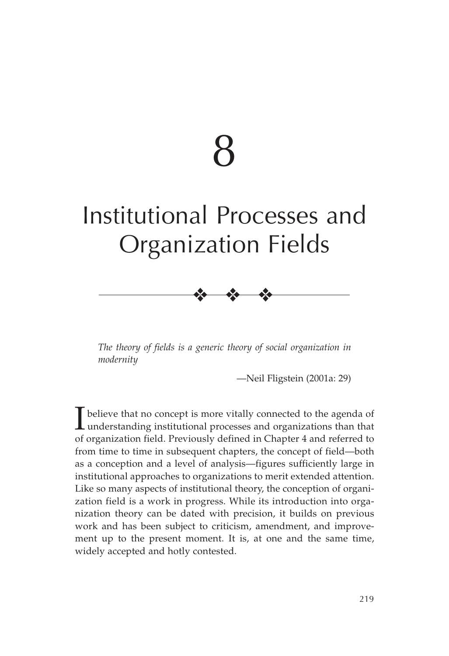# 8

# Institutional Processes and Organization Fields



*The theory of fields is a generic theory of social organization in modernity* 

—Neil Fligstein (2001a: 29)

I believe that no concept is more vitally connected to the agenda of understanding institutional processes and organizations than that of organization field. Previously defined in Chapter 4 and referred to from time to time in subsequent chapters, the concept of field—both as a conception and a level of analysis—figures sufficiently large in institutional approaches to organizations to merit extended attention. Like so many aspects of institutional theory, the conception of organization field is a work in progress. While its introduction into organization theory can be dated with precision, it builds on previous work and has been subject to criticism, amendment, and improvement up to the present moment. It is, at one and the same time, widely accepted and hotly contested.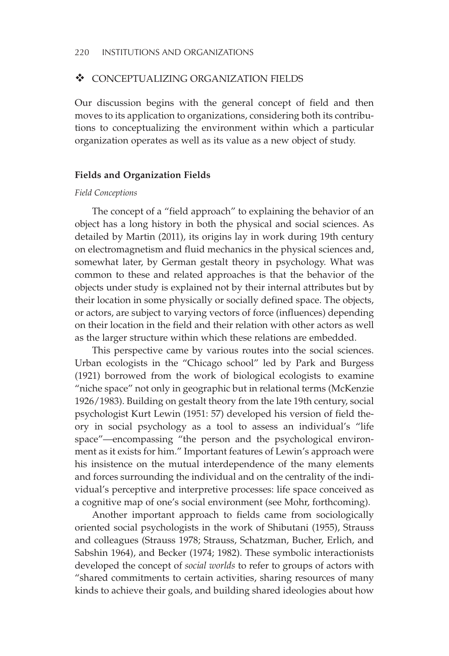## ❖ CONCEPTUALIZING ORGANIZATION FIELDS

Our discussion begins with the general concept of field and then moves to its application to organizations, considering both its contributions to conceptualizing the environment within which a particular organization operates as well as its value as a new object of study.

# **Fields and Organization Fields**

## *Field Conceptions*

The concept of a "field approach" to explaining the behavior of an object has a long history in both the physical and social sciences. As detailed by Martin (2011), its origins lay in work during 19th century on electromagnetism and fluid mechanics in the physical sciences and, somewhat later, by German gestalt theory in psychology. What was common to these and related approaches is that the behavior of the objects under study is explained not by their internal attributes but by their location in some physically or socially defined space. The objects, or actors, are subject to varying vectors of force (influences) depending on their location in the field and their relation with other actors as well as the larger structure within which these relations are embedded.

This perspective came by various routes into the social sciences. Urban ecologists in the "Chicago school" led by Park and Burgess (1921) borrowed from the work of biological ecologists to examine "niche space" not only in geographic but in relational terms (McKenzie 1926/1983). Building on gestalt theory from the late 19th century, social psychologist Kurt Lewin (1951: 57) developed his version of field theory in social psychology as a tool to assess an individual's "life space"—encompassing "the person and the psychological environment as it exists for him." Important features of Lewin's approach were his insistence on the mutual interdependence of the many elements and forces surrounding the individual and on the centrality of the individual's perceptive and interpretive processes: life space conceived as a cognitive map of one's social environment (see Mohr, forthcoming).

Another important approach to fields came from sociologically oriented social psychologists in the work of Shibutani (1955), Strauss and colleagues (Strauss 1978; Strauss, Schatzman, Bucher, Erlich, and Sabshin 1964), and Becker (1974; 1982). These symbolic interactionists developed the concept of *social worlds* to refer to groups of actors with "shared commitments to certain activities, sharing resources of many kinds to achieve their goals, and building shared ideologies about how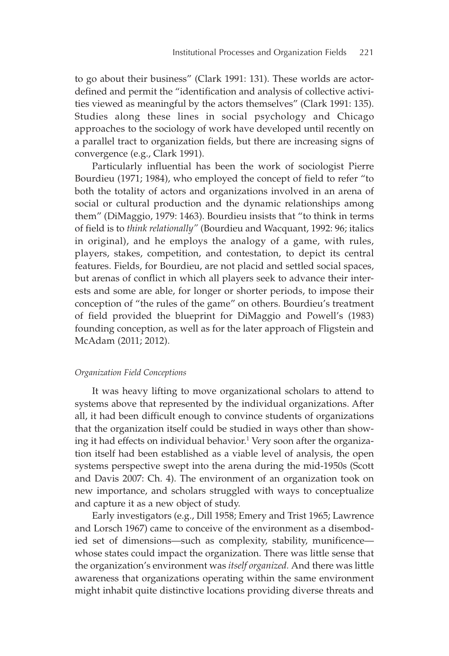to go about their business" (Clark 1991: 131). These worlds are actordefined and permit the "identification and analysis of collective activities viewed as meaningful by the actors themselves" (Clark 1991: 135). Studies along these lines in social psychology and Chicago approaches to the sociology of work have developed until recently on a parallel tract to organization fields, but there are increasing signs of convergence (e.g., Clark 1991).

Particularly influential has been the work of sociologist Pierre Bourdieu (1971; 1984), who employed the concept of field to refer "to both the totality of actors and organizations involved in an arena of social or cultural production and the dynamic relationships among them" (DiMaggio, 1979: 1463). Bourdieu insists that "to think in terms of field is to *think relationally"* (Bourdieu and Wacquant, 1992: 96; italics in original), and he employs the analogy of a game, with rules, players, stakes, competition, and contestation, to depict its central features. Fields, for Bourdieu, are not placid and settled social spaces, but arenas of conflict in which all players seek to advance their interests and some are able, for longer or shorter periods, to impose their conception of "the rules of the game" on others. Bourdieu's treatment of field provided the blueprint for DiMaggio and Powell's (1983) founding conception, as well as for the later approach of Fligstein and McAdam (2011; 2012).

# *Organization Field Conceptions*

It was heavy lifting to move organizational scholars to attend to systems above that represented by the individual organizations. After all, it had been difficult enough to convince students of organizations that the organization itself could be studied in ways other than showing it had effects on individual behavior.<sup>1</sup> Very soon after the organization itself had been established as a viable level of analysis, the open systems perspective swept into the arena during the mid-1950s (Scott and Davis 2007: Ch. 4). The environment of an organization took on new importance, and scholars struggled with ways to conceptualize and capture it as a new object of study.

Early investigators (e.g., Dill 1958; Emery and Trist 1965; Lawrence and Lorsch 1967) came to conceive of the environment as a disembodied set of dimensions—such as complexity, stability, munificence whose states could impact the organization. There was little sense that the organization's environment was *itself organized.* And there was little awareness that organizations operating within the same environment might inhabit quite distinctive locations providing diverse threats and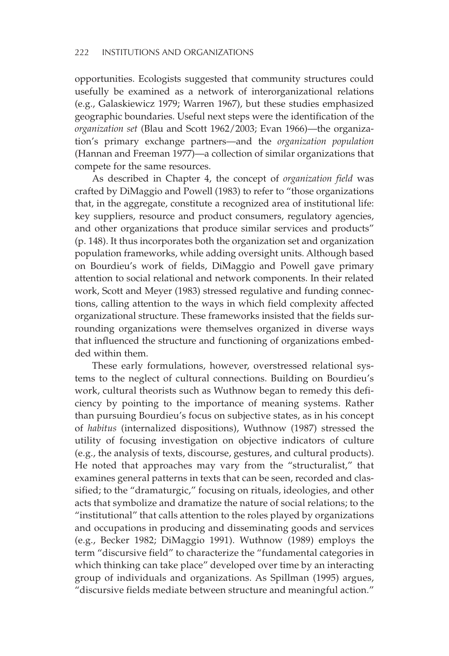opportunities. Ecologists suggested that community structures could usefully be examined as a network of interorganizational relations (e.g., Galaskiewicz 1979; Warren 1967), but these studies emphasized geographic boundaries. Useful next steps were the identification of the *organization set* (Blau and Scott 1962/2003; Evan 1966)—the organization's primary exchange partners—and the *organization population*  (Hannan and Freeman 1977)—a collection of similar organizations that compete for the same resources.

As described in Chapter 4, the concept of *organization field* was crafted by DiMaggio and Powell (1983) to refer to "those organizations that, in the aggregate, constitute a recognized area of institutional life: key suppliers, resource and product consumers, regulatory agencies, and other organizations that produce similar services and products" (p. 148). It thus incorporates both the organization set and organization population frameworks, while adding oversight units. Although based on Bourdieu's work of fields, DiMaggio and Powell gave primary attention to social relational and network components. In their related work, Scott and Meyer (1983) stressed regulative and funding connections, calling attention to the ways in which field complexity affected organizational structure. These frameworks insisted that the fields surrounding organizations were themselves organized in diverse ways that influenced the structure and functioning of organizations embedded within them.

These early formulations, however, overstressed relational systems to the neglect of cultural connections. Building on Bourdieu's work, cultural theorists such as Wuthnow began to remedy this deficiency by pointing to the importance of meaning systems. Rather than pursuing Bourdieu's focus on subjective states, as in his concept of *habitus* (internalized dispositions), Wuthnow (1987) stressed the utility of focusing investigation on objective indicators of culture (e.g., the analysis of texts, discourse, gestures, and cultural products). He noted that approaches may vary from the "structuralist," that examines general patterns in texts that can be seen, recorded and classified; to the "dramaturgic," focusing on rituals, ideologies, and other acts that symbolize and dramatize the nature of social relations; to the "institutional" that calls attention to the roles played by organizations and occupations in producing and disseminating goods and services (e.g., Becker 1982; DiMaggio 1991). Wuthnow (1989) employs the term "discursive field" to characterize the "fundamental categories in which thinking can take place" developed over time by an interacting group of individuals and organizations. As Spillman (1995) argues, "discursive fields mediate between structure and meaningful action."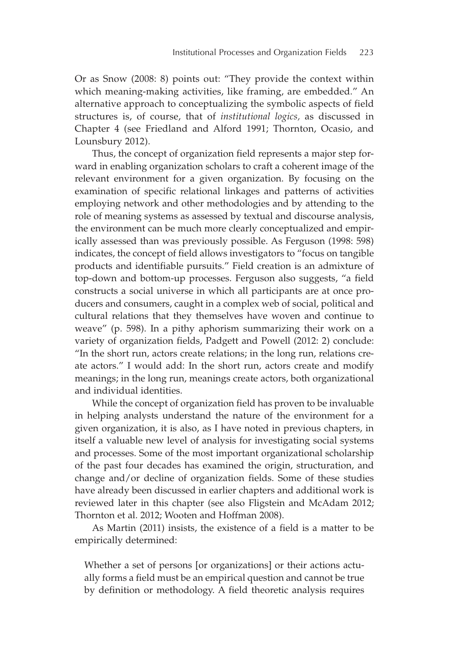Or as Snow (2008: 8) points out: "They provide the context within which meaning-making activities, like framing, are embedded." An alternative approach to conceptualizing the symbolic aspects of field structures is, of course, that of *institutional logics,* as discussed in Chapter 4 (see Friedland and Alford 1991; Thornton, Ocasio, and Lounsbury 2012).

Thus, the concept of organization field represents a major step forward in enabling organization scholars to craft a coherent image of the relevant environment for a given organization. By focusing on the examination of specific relational linkages and patterns of activities employing network and other methodologies and by attending to the role of meaning systems as assessed by textual and discourse analysis, the environment can be much more clearly conceptualized and empirically assessed than was previously possible. As Ferguson (1998: 598) indicates, the concept of field allows investigators to "focus on tangible products and identifiable pursuits." Field creation is an admixture of top-down and bottom-up processes. Ferguson also suggests, "a field constructs a social universe in which all participants are at once producers and consumers, caught in a complex web of social, political and cultural relations that they themselves have woven and continue to weave" (p. 598). In a pithy aphorism summarizing their work on a variety of organization fields, Padgett and Powell (2012: 2) conclude: "In the short run, actors create relations; in the long run, relations create actors." I would add: In the short run, actors create and modify meanings; in the long run, meanings create actors, both organizational and individual identities.

While the concept of organization field has proven to be invaluable in helping analysts understand the nature of the environment for a given organization, it is also, as I have noted in previous chapters, in itself a valuable new level of analysis for investigating social systems and processes. Some of the most important organizational scholarship of the past four decades has examined the origin, structuration, and change and/or decline of organization fields. Some of these studies have already been discussed in earlier chapters and additional work is reviewed later in this chapter (see also Fligstein and McAdam 2012; Thornton et al. 2012; Wooten and Hoffman 2008).

As Martin (2011) insists, the existence of a field is a matter to be empirically determined:

Whether a set of persons [or organizations] or their actions actually forms a field must be an empirical question and cannot be true by definition or methodology. A field theoretic analysis requires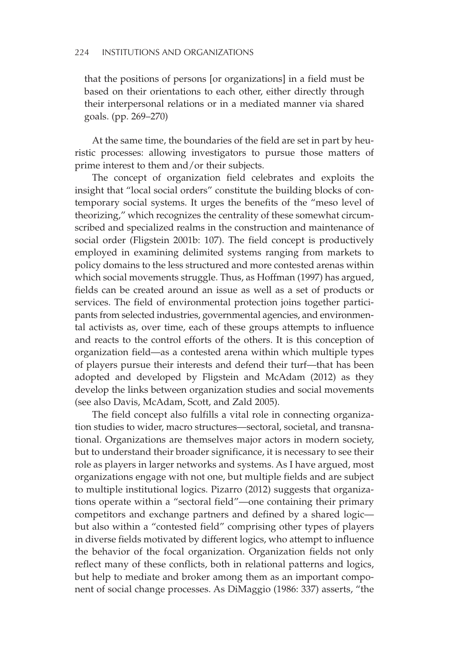that the positions of persons [or organizations] in a field must be based on their orientations to each other, either directly through their interpersonal relations or in a mediated manner via shared goals. (pp. 269–270)

At the same time, the boundaries of the field are set in part by heuristic processes: allowing investigators to pursue those matters of prime interest to them and/or their subjects.

The concept of organization field celebrates and exploits the insight that "local social orders" constitute the building blocks of contemporary social systems. It urges the benefits of the "meso level of theorizing," which recognizes the centrality of these somewhat circumscribed and specialized realms in the construction and maintenance of social order (Fligstein 2001b: 107). The field concept is productively employed in examining delimited systems ranging from markets to policy domains to the less structured and more contested arenas within which social movements struggle. Thus, as Hoffman (1997) has argued, fields can be created around an issue as well as a set of products or services. The field of environmental protection joins together participants from selected industries, governmental agencies, and environmental activists as, over time, each of these groups attempts to influence and reacts to the control efforts of the others. It is this conception of organization field—as a contested arena within which multiple types of players pursue their interests and defend their turf—that has been adopted and developed by Fligstein and McAdam (2012) as they develop the links between organization studies and social movements (see also Davis, McAdam, Scott, and Zald 2005).

The field concept also fulfills a vital role in connecting organization studies to wider, macro structures—sectoral, societal, and transnational. Organizations are themselves major actors in modern society, but to understand their broader significance, it is necessary to see their role as players in larger networks and systems. As I have argued, most organizations engage with not one, but multiple fields and are subject to multiple institutional logics. Pizarro (2012) suggests that organizations operate within a "sectoral field"—one containing their primary competitors and exchange partners and defined by a shared logic but also within a "contested field" comprising other types of players in diverse fields motivated by different logics, who attempt to influence the behavior of the focal organization. Organization fields not only reflect many of these conflicts, both in relational patterns and logics, but help to mediate and broker among them as an important component of social change processes. As DiMaggio (1986: 337) asserts, "the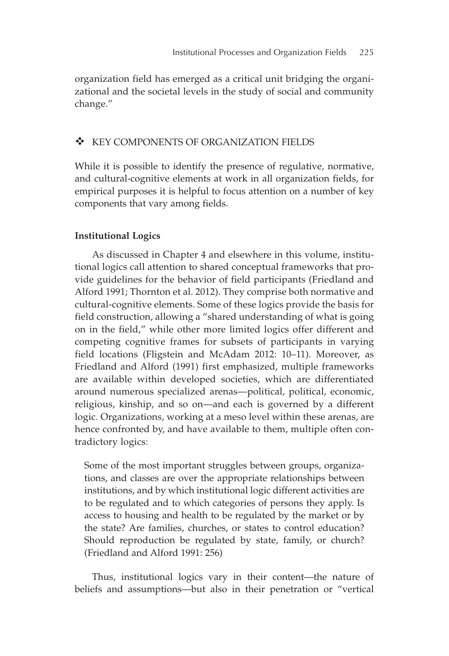organization field has emerged as a critical unit bridging the organizational and the societal levels in the study of social and community change."

# ❖ KEY COMPONENTS OF ORGANIZATION FIELDS

While it is possible to identify the presence of regulative, normative, and cultural-cognitive elements at work in all organization fields, for empirical purposes it is helpful to focus attention on a number of key components that vary among fields.

# **Institutional Logics**

As discussed in Chapter 4 and elsewhere in this volume, institutional logics call attention to shared conceptual frameworks that provide guidelines for the behavior of field participants (Friedland and Alford 1991; Thornton et al. 2012). They comprise both normative and cultural-cognitive elements. Some of these logics provide the basis for field construction, allowing a "shared understanding of what is going on in the field," while other more limited logics offer different and competing cognitive frames for subsets of participants in varying field locations (Fligstein and McAdam 2012: 10–11). Moreover, as Friedland and Alford (1991) first emphasized, multiple frameworks are available within developed societies, which are differentiated around numerous specialized arenas—political, political, economic, religious, kinship, and so on—and each is governed by a different logic. Organizations, working at a meso level within these arenas, are hence confronted by, and have available to them, multiple often contradictory logics:

Some of the most important struggles between groups, organizations, and classes are over the appropriate relationships between institutions, and by which institutional logic different activities are to be regulated and to which categories of persons they apply. Is access to housing and health to be regulated by the market or by the state? Are families, churches, or states to control education? Should reproduction be regulated by state, family, or church? (Friedland and Alford 1991: 256)

Thus, institutional logics vary in their content—the nature of beliefs and assumptions—but also in their penetration or "vertical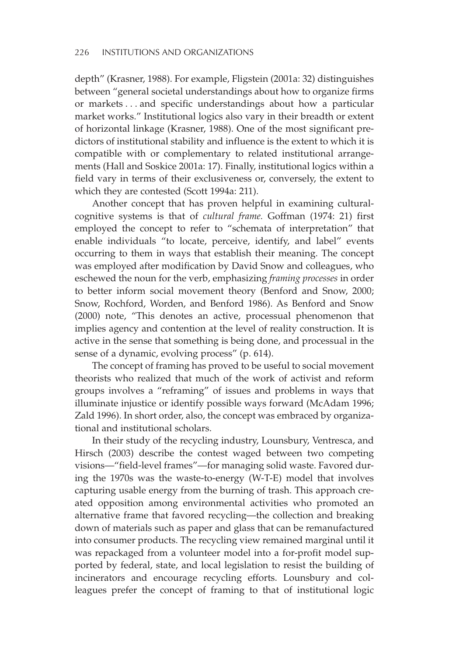depth" (Krasner, 1988). For example, Fligstein (2001a: 32) distinguishes between "general societal understandings about how to organize firms or markets . . . and specific understandings about how a particular market works." Institutional logics also vary in their breadth or extent of horizontal linkage (Krasner, 1988). One of the most significant predictors of institutional stability and influence is the extent to which it is compatible with or complementary to related institutional arrangements (Hall and Soskice 2001a: 17). Finally, institutional logics within a field vary in terms of their exclusiveness or, conversely, the extent to which they are contested (Scott 1994a: 211).

Another concept that has proven helpful in examining culturalcognitive systems is that of *cultural frame.* Goffman (1974: 21) first employed the concept to refer to "schemata of interpretation" that enable individuals "to locate, perceive, identify, and label" events occurring to them in ways that establish their meaning. The concept was employed after modification by David Snow and colleagues, who eschewed the noun for the verb, emphasizing *framing processes* in order to better inform social movement theory (Benford and Snow, 2000; Snow, Rochford, Worden, and Benford 1986). As Benford and Snow (2000) note, "This denotes an active, processual phenomenon that implies agency and contention at the level of reality construction. It is active in the sense that something is being done, and processual in the sense of a dynamic, evolving process" (p. 614).

The concept of framing has proved to be useful to social movement theorists who realized that much of the work of activist and reform groups involves a "reframing" of issues and problems in ways that illuminate injustice or identify possible ways forward (McAdam 1996; Zald 1996). In short order, also, the concept was embraced by organizational and institutional scholars.

In their study of the recycling industry, Lounsbury, Ventresca, and Hirsch (2003) describe the contest waged between two competing visions—"field-level frames"—for managing solid waste. Favored during the 1970s was the waste-to-energy (W-T-E) model that involves capturing usable energy from the burning of trash. This approach created opposition among environmental activities who promoted an alternative frame that favored recycling—the collection and breaking down of materials such as paper and glass that can be remanufactured into consumer products. The recycling view remained marginal until it was repackaged from a volunteer model into a for-profit model supported by federal, state, and local legislation to resist the building of incinerators and encourage recycling efforts. Lounsbury and colleagues prefer the concept of framing to that of institutional logic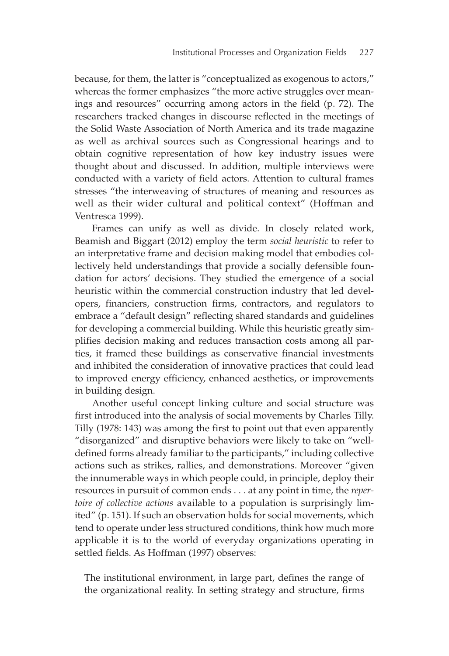because, for them, the latter is "conceptualized as exogenous to actors," whereas the former emphasizes "the more active struggles over meanings and resources" occurring among actors in the field (p. 72). The researchers tracked changes in discourse reflected in the meetings of the Solid Waste Association of North America and its trade magazine as well as archival sources such as Congressional hearings and to obtain cognitive representation of how key industry issues were thought about and discussed. In addition, multiple interviews were conducted with a variety of field actors. Attention to cultural frames stresses "the interweaving of structures of meaning and resources as well as their wider cultural and political context" (Hoffman and Ventresca 1999).

Frames can unify as well as divide. In closely related work, Beamish and Biggart (2012) employ the term *social heuristic* to refer to an interpretative frame and decision making model that embodies collectively held understandings that provide a socially defensible foundation for actors' decisions. They studied the emergence of a social heuristic within the commercial construction industry that led developers, financiers, construction firms, contractors, and regulators to embrace a "default design" reflecting shared standards and guidelines for developing a commercial building. While this heuristic greatly simplifies decision making and reduces transaction costs among all parties, it framed these buildings as conservative financial investments and inhibited the consideration of innovative practices that could lead to improved energy efficiency, enhanced aesthetics, or improvements in building design.

Another useful concept linking culture and social structure was first introduced into the analysis of social movements by Charles Tilly. Tilly (1978: 143) was among the first to point out that even apparently "disorganized" and disruptive behaviors were likely to take on "welldefined forms already familiar to the participants," including collective actions such as strikes, rallies, and demonstrations. Moreover "given the innumerable ways in which people could, in principle, deploy their resources in pursuit of common ends . . . at any point in time, the *repertoire of collective actions* available to a population is surprisingly limited" (p. 151). If such an observation holds for social movements, which tend to operate under less structured conditions, think how much more applicable it is to the world of everyday organizations operating in settled fields. As Hoffman (1997) observes:

The institutional environment, in large part, defines the range of the organizational reality. In setting strategy and structure, firms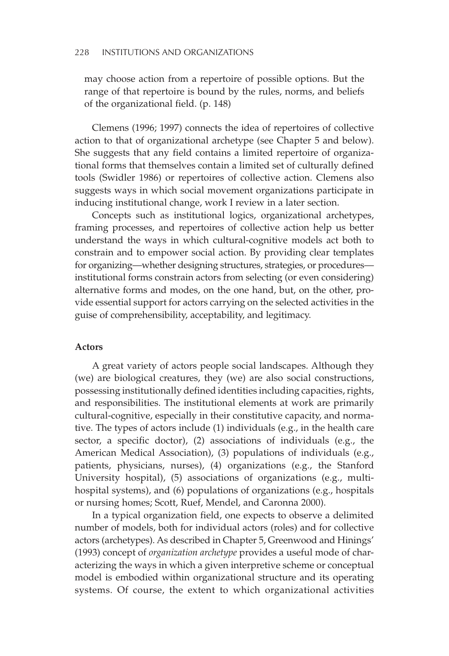#### 228 INSTITUTIONS AND ORGANIZATIONS

may choose action from a repertoire of possible options. But the range of that repertoire is bound by the rules, norms, and beliefs of the organizational field. (p. 148)

Clemens (1996; 1997) connects the idea of repertoires of collective action to that of organizational archetype (see Chapter 5 and below). She suggests that any field contains a limited repertoire of organizational forms that themselves contain a limited set of culturally defined tools (Swidler 1986) or repertoires of collective action. Clemens also suggests ways in which social movement organizations participate in inducing institutional change, work I review in a later section.

Concepts such as institutional logics, organizational archetypes, framing processes, and repertoires of collective action help us better understand the ways in which cultural-cognitive models act both to constrain and to empower social action. By providing clear templates for organizing—whether designing structures, strategies, or procedures institutional forms constrain actors from selecting (or even considering) alternative forms and modes, on the one hand, but, on the other, provide essential support for actors carrying on the selected activities in the guise of comprehensibility, acceptability, and legitimacy.

#### **Actors**

A great variety of actors people social landscapes. Although they (we) are biological creatures, they (we) are also social constructions, possessing institutionally defined identities including capacities, rights, and responsibilities. The institutional elements at work are primarily cultural-cognitive, especially in their constitutive capacity, and normative. The types of actors include (1) individuals (e.g., in the health care sector, a specific doctor), (2) associations of individuals (e.g., the American Medical Association), (3) populations of individuals (e.g., patients, physicians, nurses), (4) organizations (e.g., the Stanford University hospital), (5) associations of organizations (e.g., multihospital systems), and (6) populations of organizations (e.g., hospitals or nursing homes; Scott, Ruef, Mendel, and Caronna 2000).

In a typical organization field, one expects to observe a delimited number of models, both for individual actors (roles) and for collective actors (archetypes). As described in Chapter 5, Greenwood and Hinings' (1993) concept of *organization archetype* provides a useful mode of characterizing the ways in which a given interpretive scheme or conceptual model is embodied within organizational structure and its operating systems. Of course, the extent to which organizational activities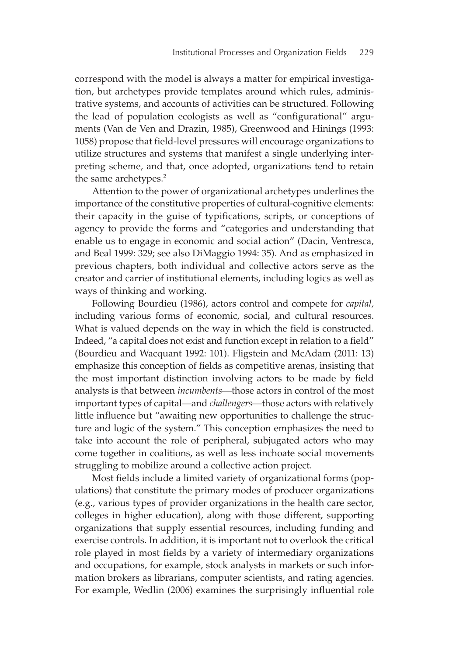correspond with the model is always a matter for empirical investigation, but archetypes provide templates around which rules, administrative systems, and accounts of activities can be structured. Following the lead of population ecologists as well as "configurational" arguments (Van de Ven and Drazin, 1985), Greenwood and Hinings (1993: 1058) propose that field-level pressures will encourage organizations to utilize structures and systems that manifest a single underlying interpreting scheme, and that, once adopted, organizations tend to retain the same archetypes.<sup>2</sup>

Attention to the power of organizational archetypes underlines the importance of the constitutive properties of cultural-cognitive elements: their capacity in the guise of typifications, scripts, or conceptions of agency to provide the forms and "categories and understanding that enable us to engage in economic and social action" (Dacin, Ventresca, and Beal 1999: 329; see also DiMaggio 1994: 35). And as emphasized in previous chapters, both individual and collective actors serve as the creator and carrier of institutional elements, including logics as well as ways of thinking and working.

Following Bourdieu (1986), actors control and compete for *capital,*  including various forms of economic, social, and cultural resources. What is valued depends on the way in which the field is constructed. Indeed, "a capital does not exist and function except in relation to a field" (Bourdieu and Wacquant 1992: 101). Fligstein and McAdam (2011: 13) emphasize this conception of fields as competitive arenas, insisting that the most important distinction involving actors to be made by field analysts is that between *incumbents*—those actors in control of the most important types of capital—and *challengers*—those actors with relatively little influence but "awaiting new opportunities to challenge the structure and logic of the system." This conception emphasizes the need to take into account the role of peripheral, subjugated actors who may come together in coalitions, as well as less inchoate social movements struggling to mobilize around a collective action project.

Most fields include a limited variety of organizational forms (populations) that constitute the primary modes of producer organizations (e.g., various types of provider organizations in the health care sector, colleges in higher education), along with those different, supporting organizations that supply essential resources, including funding and exercise controls. In addition, it is important not to overlook the critical role played in most fields by a variety of intermediary organizations and occupations, for example, stock analysts in markets or such information brokers as librarians, computer scientists, and rating agencies. For example, Wedlin (2006) examines the surprisingly influential role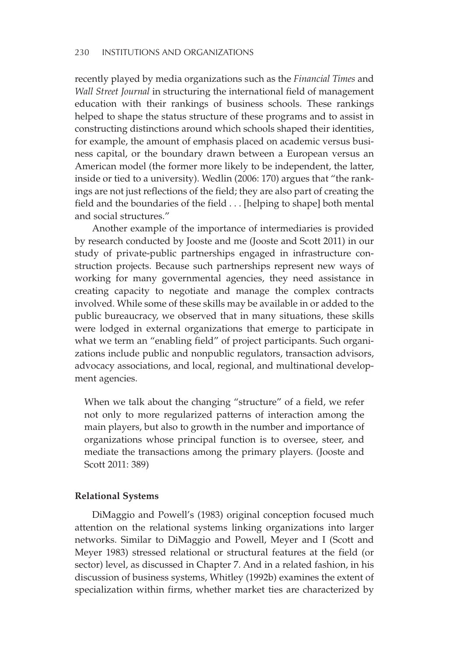recently played by media organizations such as the *Financial Times* and *Wall Street Journal* in structuring the international field of management education with their rankings of business schools. These rankings helped to shape the status structure of these programs and to assist in constructing distinctions around which schools shaped their identities, for example, the amount of emphasis placed on academic versus business capital, or the boundary drawn between a European versus an American model (the former more likely to be independent, the latter, inside or tied to a university). Wedlin (2006: 170) argues that "the rankings are not just reflections of the field; they are also part of creating the field and the boundaries of the field . . . [helping to shape] both mental and social structures."

Another example of the importance of intermediaries is provided by research conducted by Jooste and me (Jooste and Scott 2011) in our study of private-public partnerships engaged in infrastructure construction projects. Because such partnerships represent new ways of working for many governmental agencies, they need assistance in creating capacity to negotiate and manage the complex contracts involved. While some of these skills may be available in or added to the public bureaucracy, we observed that in many situations, these skills were lodged in external organizations that emerge to participate in what we term an "enabling field" of project participants. Such organizations include public and nonpublic regulators, transaction advisors, advocacy associations, and local, regional, and multinational development agencies.

When we talk about the changing "structure" of a field, we refer not only to more regularized patterns of interaction among the main players, but also to growth in the number and importance of organizations whose principal function is to oversee, steer, and mediate the transactions among the primary players. (Jooste and Scott 2011: 389)

#### **Relational Systems**

DiMaggio and Powell's (1983) original conception focused much attention on the relational systems linking organizations into larger networks. Similar to DiMaggio and Powell, Meyer and I (Scott and Meyer 1983) stressed relational or structural features at the field (or sector) level, as discussed in Chapter 7. And in a related fashion, in his discussion of business systems, Whitley (1992b) examines the extent of specialization within firms, whether market ties are characterized by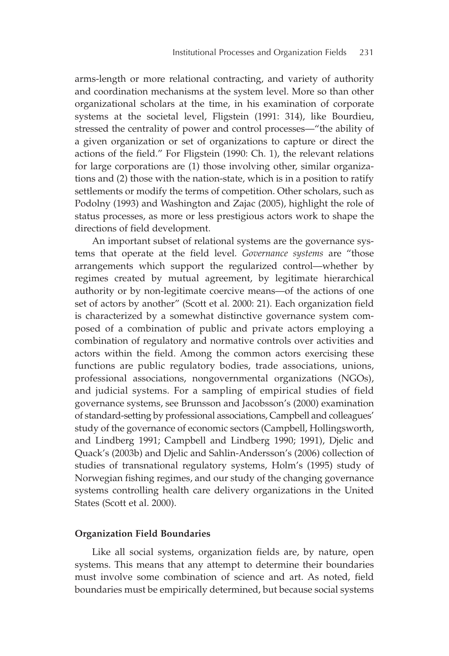arms-length or more relational contracting, and variety of authority and coordination mechanisms at the system level. More so than other organizational scholars at the time, in his examination of corporate systems at the societal level, Fligstein (1991: 314), like Bourdieu, stressed the centrality of power and control processes—"the ability of a given organization or set of organizations to capture or direct the actions of the field." For Fligstein (1990: Ch. 1), the relevant relations for large corporations are (1) those involving other, similar organizations and (2) those with the nation-state, which is in a position to ratify settlements or modify the terms of competition. Other scholars, such as Podolny (1993) and Washington and Zajac (2005), highlight the role of status processes, as more or less prestigious actors work to shape the directions of field development.

An important subset of relational systems are the governance systems that operate at the field level. *Governance systems* are "those arrangements which support the regularized control—whether by regimes created by mutual agreement, by legitimate hierarchical authority or by non-legitimate coercive means—of the actions of one set of actors by another" (Scott et al. 2000: 21). Each organization field is characterized by a somewhat distinctive governance system composed of a combination of public and private actors employing a combination of regulatory and normative controls over activities and actors within the field. Among the common actors exercising these functions are public regulatory bodies, trade associations, unions, professional associations, nongovernmental organizations (NGOs), and judicial systems. For a sampling of empirical studies of field governance systems, see Brunsson and Jacobsson's (2000) examination of standard-setting by professional associations, Campbell and colleagues' study of the governance of economic sectors (Campbell, Hollingsworth, and Lindberg 1991; Campbell and Lindberg 1990; 1991), Djelic and Quack's (2003b) and Djelic and Sahlin-Andersson's (2006) collection of studies of transnational regulatory systems, Holm's (1995) study of Norwegian fishing regimes, and our study of the changing governance systems controlling health care delivery organizations in the United States (Scott et al. 2000).

# **Organization Field Boundaries**

Like all social systems, organization fields are, by nature, open systems. This means that any attempt to determine their boundaries must involve some combination of science and art. As noted, field boundaries must be empirically determined, but because social systems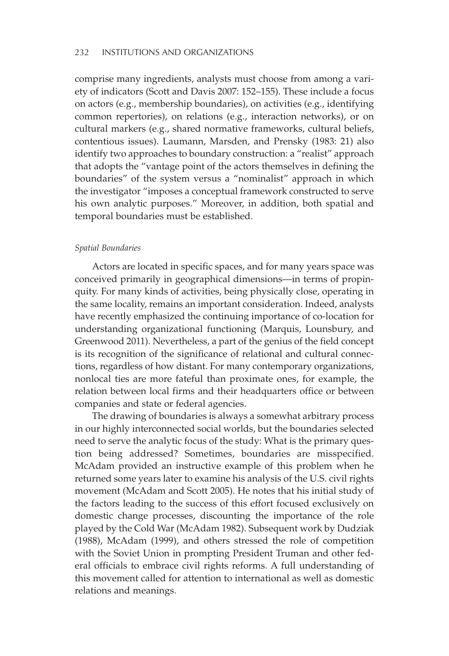comprise many ingredients, analysts must choose from among a variety of indicators (Scott and Davis 2007: 152–155). These include a focus on actors (e.g., membership boundaries), on activities (e.g., identifying common repertories), on relations (e.g., interaction networks), or on cultural markers (e.g., shared normative frameworks, cultural beliefs, contentious issues). Laumann, Marsden, and Prensky (1983: 21) also identify two approaches to boundary construction: a "realist" approach that adopts the "vantage point of the actors themselves in defining the boundaries" of the system versus a "nominalist" approach in which the investigator "imposes a conceptual framework constructed to serve his own analytic purposes." Moreover, in addition, both spatial and temporal boundaries must be established.

#### *Spatial Boundaries*

Actors are located in specific spaces, and for many years space was conceived primarily in geographical dimensions—in terms of propinquity. For many kinds of activities, being physically close, operating in the same locality, remains an important consideration. Indeed, analysts have recently emphasized the continuing importance of co-location for understanding organizational functioning (Marquis, Lounsbury, and Greenwood 2011). Nevertheless, a part of the genius of the field concept is its recognition of the significance of relational and cultural connections, regardless of how distant. For many contemporary organizations, nonlocal ties are more fateful than proximate ones, for example, the relation between local firms and their headquarters office or between companies and state or federal agencies.

The drawing of boundaries is always a somewhat arbitrary process in our highly interconnected social worlds, but the boundaries selected need to serve the analytic focus of the study: What is the primary question being addressed? Sometimes, boundaries are misspecified. McAdam provided an instructive example of this problem when he returned some years later to examine his analysis of the U.S. civil rights movement (McAdam and Scott 2005). He notes that his initial study of the factors leading to the success of this effort focused exclusively on domestic change processes, discounting the importance of the role played by the Cold War (McAdam 1982). Subsequent work by Dudziak (1988), McAdam (1999), and others stressed the role of competition with the Soviet Union in prompting President Truman and other federal officials to embrace civil rights reforms. A full understanding of this movement called for attention to international as well as domestic relations and meanings.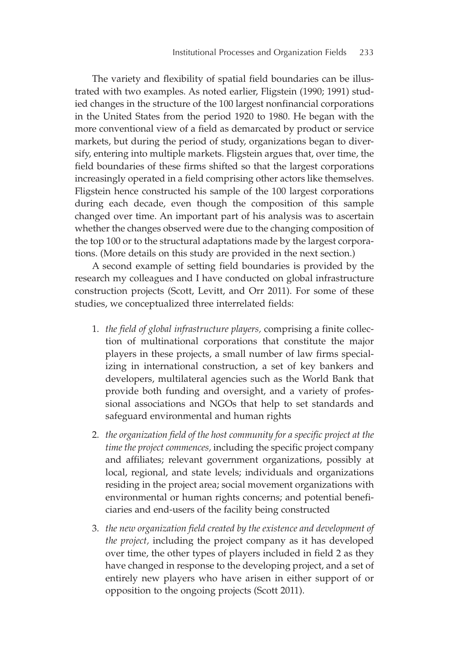The variety and flexibility of spatial field boundaries can be illustrated with two examples. As noted earlier, Fligstein (1990; 1991) studied changes in the structure of the 100 largest nonfinancial corporations in the United States from the period 1920 to 1980. He began with the more conventional view of a field as demarcated by product or service markets, but during the period of study, organizations began to diversify, entering into multiple markets. Fligstein argues that, over time, the field boundaries of these firms shifted so that the largest corporations increasingly operated in a field comprising other actors like themselves. Fligstein hence constructed his sample of the 100 largest corporations during each decade, even though the composition of this sample changed over time. An important part of his analysis was to ascertain whether the changes observed were due to the changing composition of the top 100 or to the structural adaptations made by the largest corporations. (More details on this study are provided in the next section.)

A second example of setting field boundaries is provided by the research my colleagues and I have conducted on global infrastructure construction projects (Scott, Levitt, and Orr 2011). For some of these studies, we conceptualized three interrelated fields:

- 1. *the field of global infrastructure players,* comprising a finite collection of multinational corporations that constitute the major players in these projects, a small number of law firms specializing in international construction, a set of key bankers and developers, multilateral agencies such as the World Bank that provide both funding and oversight, and a variety of professional associations and NGOs that help to set standards and safeguard environmental and human rights
- 2. *the organization field of the host community for a specific project at the time the project commences,* including the specific project company and affiliates; relevant government organizations, possibly at local, regional, and state levels; individuals and organizations residing in the project area; social movement organizations with environmental or human rights concerns; and potential beneficiaries and end-users of the facility being constructed
- 3. *the new organization field created by the existence and development of the project,* including the project company as it has developed over time, the other types of players included in field 2 as they have changed in response to the developing project, and a set of entirely new players who have arisen in either support of or opposition to the ongoing projects (Scott 2011).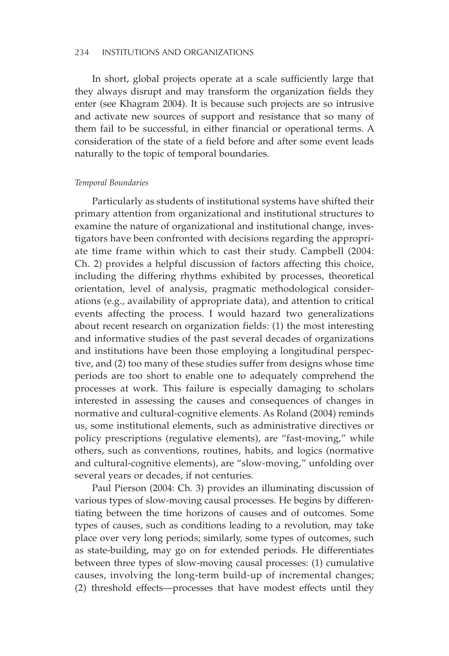#### 234 INSTITUTIONS AND ORGANIZATIONS

In short, global projects operate at a scale sufficiently large that they always disrupt and may transform the organization fields they enter (see Khagram 2004). It is because such projects are so intrusive and activate new sources of support and resistance that so many of them fail to be successful, in either financial or operational terms. A consideration of the state of a field before and after some event leads naturally to the topic of temporal boundaries.

#### *Temporal Boundaries*

Particularly as students of institutional systems have shifted their primary attention from organizational and institutional structures to examine the nature of organizational and institutional change, investigators have been confronted with decisions regarding the appropriate time frame within which to cast their study. Campbell (2004: Ch. 2) provides a helpful discussion of factors affecting this choice, including the differing rhythms exhibited by processes, theoretical orientation, level of analysis, pragmatic methodological considerations (e.g., availability of appropriate data), and attention to critical events affecting the process. I would hazard two generalizations about recent research on organization fields: (1) the most interesting and informative studies of the past several decades of organizations and institutions have been those employing a longitudinal perspective, and (2) too many of these studies suffer from designs whose time periods are too short to enable one to adequately comprehend the processes at work. This failure is especially damaging to scholars interested in assessing the causes and consequences of changes in normative and cultural-cognitive elements. As Roland (2004) reminds us, some institutional elements, such as administrative directives or policy prescriptions (regulative elements), are "fast-moving," while others, such as conventions, routines, habits, and logics (normative and cultural-cognitive elements), are "slow-moving," unfolding over several years or decades, if not centuries.

Paul Pierson (2004: Ch. 3) provides an illuminating discussion of various types of slow-moving causal processes. He begins by differentiating between the time horizons of causes and of outcomes. Some types of causes, such as conditions leading to a revolution, may take place over very long periods; similarly, some types of outcomes, such as state-building, may go on for extended periods. He differentiates between three types of slow-moving causal processes: (1) cumulative causes, involving the long-term build-up of incremental changes; (2) threshold effects—processes that have modest effects until they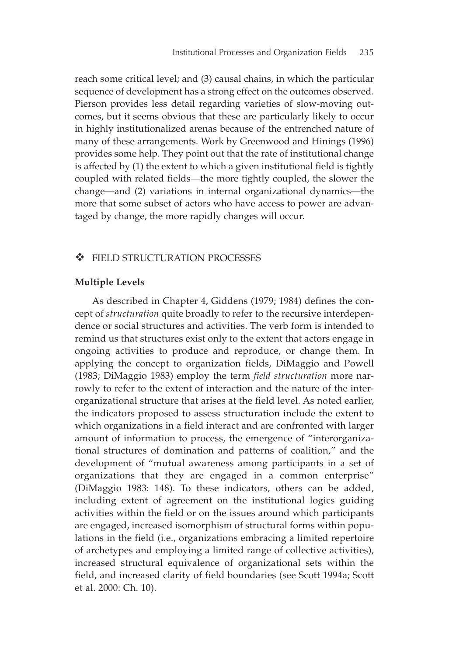reach some critical level; and (3) causal chains, in which the particular sequence of development has a strong effect on the outcomes observed. Pierson provides less detail regarding varieties of slow-moving outcomes, but it seems obvious that these are particularly likely to occur in highly institutionalized arenas because of the entrenched nature of many of these arrangements. Work by Greenwood and Hinings (1996) provides some help. They point out that the rate of institutional change is affected by (1) the extent to which a given institutional field is tightly coupled with related fields—the more tightly coupled, the slower the change—and (2) variations in internal organizational dynamics—the more that some subset of actors who have access to power are advantaged by change, the more rapidly changes will occur.

# **❖** FIELD STRUCTURATION PROCESSES

# **Multiple Levels**

As described in Chapter 4, Giddens (1979; 1984) defines the concept of *structuration* quite broadly to refer to the recursive interdependence or social structures and activities. The verb form is intended to remind us that structures exist only to the extent that actors engage in ongoing activities to produce and reproduce, or change them. In applying the concept to organization fields, DiMaggio and Powell (1983; DiMaggio 1983) employ the term *field structuration* more narrowly to refer to the extent of interaction and the nature of the interorganizational structure that arises at the field level. As noted earlier, the indicators proposed to assess structuration include the extent to which organizations in a field interact and are confronted with larger amount of information to process, the emergence of "interorganizational structures of domination and patterns of coalition," and the development of "mutual awareness among participants in a set of organizations that they are engaged in a common enterprise" (DiMaggio 1983: 148). To these indicators, others can be added, including extent of agreement on the institutional logics guiding activities within the field or on the issues around which participants are engaged, increased isomorphism of structural forms within populations in the field (i.e., organizations embracing a limited repertoire of archetypes and employing a limited range of collective activities), increased structural equivalence of organizational sets within the field, and increased clarity of field boundaries (see Scott 1994a; Scott et al. 2000: Ch. 10).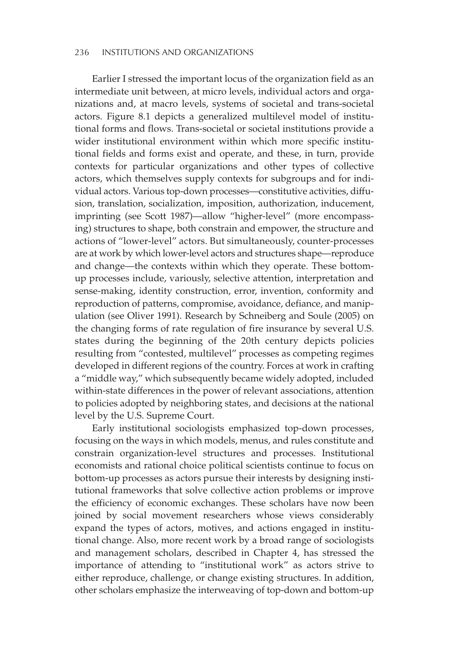#### 236 INSTITUTIONS AND ORGANIZATIONS

Earlier I stressed the important locus of the organization field as an intermediate unit between, at micro levels, individual actors and organizations and, at macro levels, systems of societal and trans-societal actors. Figure 8.1 depicts a generalized multilevel model of institutional forms and flows. Trans-societal or societal institutions provide a wider institutional environment within which more specific institutional fields and forms exist and operate, and these, in turn, provide contexts for particular organizations and other types of collective actors, which themselves supply contexts for subgroups and for individual actors. Various top-down processes—constitutive activities, diffusion, translation, socialization, imposition, authorization, inducement, imprinting (see Scott 1987)—allow "higher-level" (more encompassing) structures to shape, both constrain and empower, the structure and actions of "lower-level" actors. But simultaneously, counter-processes are at work by which lower-level actors and structures shape—reproduce and change—the contexts within which they operate. These bottomup processes include, variously, selective attention, interpretation and sense-making, identity construction, error, invention, conformity and reproduction of patterns, compromise, avoidance, defiance, and manipulation (see Oliver 1991). Research by Schneiberg and Soule (2005) on the changing forms of rate regulation of fire insurance by several U.S. states during the beginning of the 20th century depicts policies resulting from "contested, multilevel" processes as competing regimes developed in different regions of the country. Forces at work in crafting a "middle way," which subsequently became widely adopted, included within-state differences in the power of relevant associations, attention to policies adopted by neighboring states, and decisions at the national level by the U.S. Supreme Court.

Early institutional sociologists emphasized top-down processes, focusing on the ways in which models, menus, and rules constitute and constrain organization-level structures and processes. Institutional economists and rational choice political scientists continue to focus on bottom-up processes as actors pursue their interests by designing institutional frameworks that solve collective action problems or improve the efficiency of economic exchanges. These scholars have now been joined by social movement researchers whose views considerably expand the types of actors, motives, and actions engaged in institutional change. Also, more recent work by a broad range of sociologists and management scholars, described in Chapter 4, has stressed the importance of attending to "institutional work" as actors strive to either reproduce, challenge, or change existing structures. In addition, other scholars emphasize the interweaving of top-down and bottom-up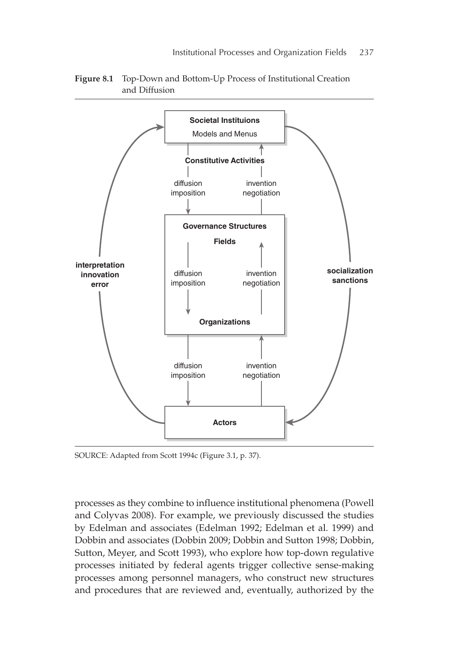

**Figure 8.1** Top-Down and Bottom-Up Process of Institutional Creation and Diffusion

SOURCE: Adapted from Scott 1994c (Figure 3.1, p. 37).

processes as they combine to influence institutional phenomena (Powell and Colyvas 2008). For example, we previously discussed the studies by Edelman and associates (Edelman 1992; Edelman et al. 1999) and Dobbin and associates (Dobbin 2009; Dobbin and Sutton 1998; Dobbin, Sutton, Meyer, and Scott 1993), who explore how top-down regulative processes initiated by federal agents trigger collective sense-making processes among personnel managers, who construct new structures and procedures that are reviewed and, eventually, authorized by the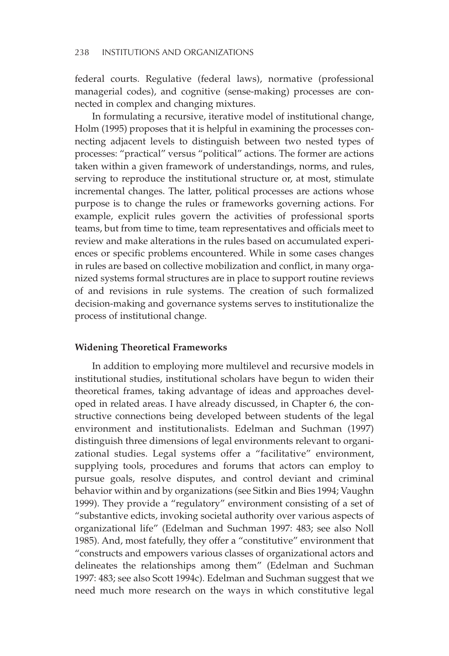federal courts. Regulative (federal laws), normative (professional managerial codes), and cognitive (sense-making) processes are connected in complex and changing mixtures.

In formulating a recursive, iterative model of institutional change, Holm (1995) proposes that it is helpful in examining the processes connecting adjacent levels to distinguish between two nested types of processes: "practical" versus "political" actions. The former are actions taken within a given framework of understandings, norms, and rules, serving to reproduce the institutional structure or, at most, stimulate incremental changes. The latter, political processes are actions whose purpose is to change the rules or frameworks governing actions. For example, explicit rules govern the activities of professional sports teams, but from time to time, team representatives and officials meet to review and make alterations in the rules based on accumulated experiences or specific problems encountered. While in some cases changes in rules are based on collective mobilization and conflict, in many organized systems formal structures are in place to support routine reviews of and revisions in rule systems. The creation of such formalized decision-making and governance systems serves to institutionalize the process of institutional change.

# **Widening Theoretical Frameworks**

In addition to employing more multilevel and recursive models in institutional studies, institutional scholars have begun to widen their theoretical frames, taking advantage of ideas and approaches developed in related areas. I have already discussed, in Chapter 6, the constructive connections being developed between students of the legal environment and institutionalists. Edelman and Suchman (1997) distinguish three dimensions of legal environments relevant to organizational studies. Legal systems offer a "facilitative" environment, supplying tools, procedures and forums that actors can employ to pursue goals, resolve disputes, and control deviant and criminal behavior within and by organizations (see Sitkin and Bies 1994; Vaughn 1999). They provide a "regulatory" environment consisting of a set of "substantive edicts, invoking societal authority over various aspects of organizational life" (Edelman and Suchman 1997: 483; see also Noll 1985). And, most fatefully, they offer a "constitutive" environment that "constructs and empowers various classes of organizational actors and delineates the relationships among them" (Edelman and Suchman 1997: 483; see also Scott 1994c). Edelman and Suchman suggest that we need much more research on the ways in which constitutive legal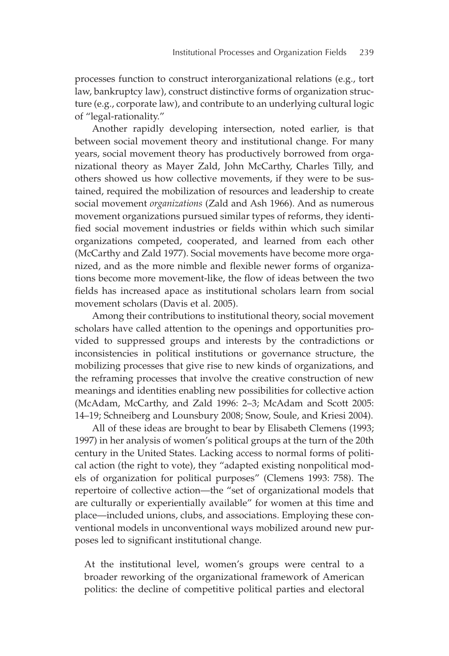processes function to construct interorganizational relations (e.g., tort law, bankruptcy law), construct distinctive forms of organization structure (e.g., corporate law), and contribute to an underlying cultural logic of "legal-rationality."

Another rapidly developing intersection, noted earlier, is that between social movement theory and institutional change. For many years, social movement theory has productively borrowed from organizational theory as Mayer Zald, John McCarthy, Charles Tilly, and others showed us how collective movements, if they were to be sustained, required the mobilization of resources and leadership to create social movement *organizations* (Zald and Ash 1966). And as numerous movement organizations pursued similar types of reforms, they identified social movement industries or fields within which such similar organizations competed, cooperated, and learned from each other (McCarthy and Zald 1977). Social movements have become more organized, and as the more nimble and flexible newer forms of organizations become more movement-like, the flow of ideas between the two fields has increased apace as institutional scholars learn from social movement scholars (Davis et al. 2005).

Among their contributions to institutional theory, social movement scholars have called attention to the openings and opportunities provided to suppressed groups and interests by the contradictions or inconsistencies in political institutions or governance structure, the mobilizing processes that give rise to new kinds of organizations, and the reframing processes that involve the creative construction of new meanings and identities enabling new possibilities for collective action (McAdam, McCarthy, and Zald 1996: 2–3; McAdam and Scott 2005: 14–19; Schneiberg and Lounsbury 2008; Snow, Soule, and Kriesi 2004).

All of these ideas are brought to bear by Elisabeth Clemens (1993; 1997) in her analysis of women's political groups at the turn of the 20th century in the United States. Lacking access to normal forms of political action (the right to vote), they "adapted existing nonpolitical models of organization for political purposes" (Clemens 1993: 758). The repertoire of collective action—the "set of organizational models that are culturally or experientially available" for women at this time and place—included unions, clubs, and associations. Employing these conventional models in unconventional ways mobilized around new purposes led to significant institutional change.

At the institutional level, women's groups were central to a broader reworking of the organizational framework of American politics: the decline of competitive political parties and electoral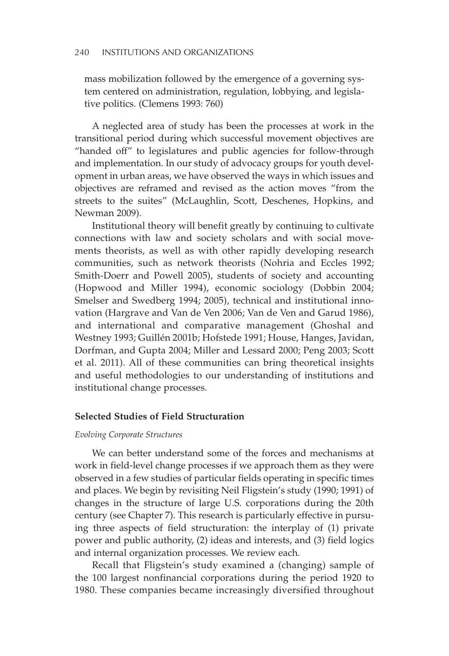mass mobilization followed by the emergence of a governing system centered on administration, regulation, lobbying, and legislative politics. (Clemens 1993: 760)

A neglected area of study has been the processes at work in the transitional period during which successful movement objectives are "handed off" to legislatures and public agencies for follow-through and implementation. In our study of advocacy groups for youth development in urban areas, we have observed the ways in which issues and objectives are reframed and revised as the action moves "from the streets to the suites" (McLaughlin, Scott, Deschenes, Hopkins, and Newman 2009).

Institutional theory will benefit greatly by continuing to cultivate connections with law and society scholars and with social movements theorists, as well as with other rapidly developing research communities, such as network theorists (Nohria and Eccles 1992; Smith-Doerr and Powell 2005), students of society and accounting (Hopwood and Miller 1994), economic sociology (Dobbin 2004; Smelser and Swedberg 1994; 2005), technical and institutional innovation (Hargrave and Van de Ven 2006; Van de Ven and Garud 1986), and international and comparative management (Ghoshal and Westney 1993; Guillén 2001b; Hofstede 1991; House, Hanges, Javidan, Dorfman, and Gupta 2004; Miller and Lessard 2000; Peng 2003; Scott et al. 2011). All of these communities can bring theoretical insights and useful methodologies to our understanding of institutions and institutional change processes.

# **Selected Studies of Field Structuration**

#### *Evolving Corporate Structures*

We can better understand some of the forces and mechanisms at work in field-level change processes if we approach them as they were observed in a few studies of particular fields operating in specific times and places. We begin by revisiting Neil Fligstein's study (1990; 1991) of changes in the structure of large U.S. corporations during the 20th century (see Chapter 7). This research is particularly effective in pursuing three aspects of field structuration: the interplay of (1) private power and public authority, (2) ideas and interests, and (3) field logics and internal organization processes. We review each.

Recall that Fligstein's study examined a (changing) sample of the 100 largest nonfinancial corporations during the period 1920 to 1980. These companies became increasingly diversified throughout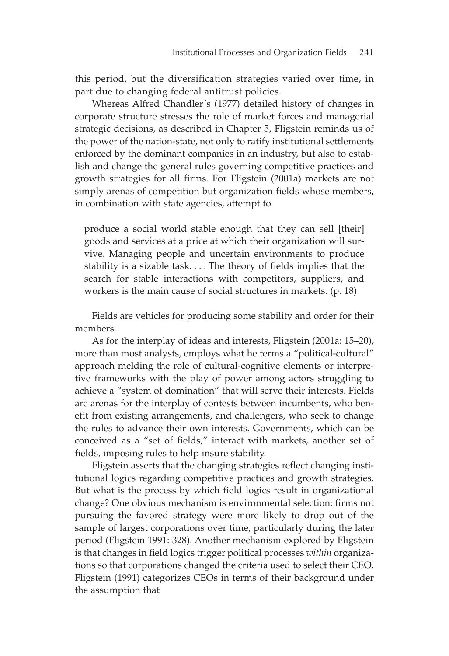this period, but the diversification strategies varied over time, in part due to changing federal antitrust policies.

Whereas Alfred Chandler's (1977) detailed history of changes in corporate structure stresses the role of market forces and managerial strategic decisions, as described in Chapter 5, Fligstein reminds us of the power of the nation-state, not only to ratify institutional settlements enforced by the dominant companies in an industry, but also to establish and change the general rules governing competitive practices and growth strategies for all firms. For Fligstein (2001a) markets are not simply arenas of competition but organization fields whose members, in combination with state agencies, attempt to

produce a social world stable enough that they can sell [their] goods and services at a price at which their organization will survive. Managing people and uncertain environments to produce stability is a sizable task. . . . The theory of fields implies that the search for stable interactions with competitors, suppliers, and workers is the main cause of social structures in markets. (p. 18)

Fields are vehicles for producing some stability and order for their members.

As for the interplay of ideas and interests, Fligstein (2001a: 15–20), more than most analysts, employs what he terms a "political-cultural" approach melding the role of cultural-cognitive elements or interpretive frameworks with the play of power among actors struggling to achieve a "system of domination" that will serve their interests. Fields are arenas for the interplay of contests between incumbents, who benefit from existing arrangements, and challengers, who seek to change the rules to advance their own interests. Governments, which can be conceived as a "set of fields," interact with markets, another set of fields, imposing rules to help insure stability.

Fligstein asserts that the changing strategies reflect changing institutional logics regarding competitive practices and growth strategies. But what is the process by which field logics result in organizational change? One obvious mechanism is environmental selection: firms not pursuing the favored strategy were more likely to drop out of the sample of largest corporations over time, particularly during the later period (Fligstein 1991: 328). Another mechanism explored by Fligstein is that changes in field logics trigger political processes *within* organizations so that corporations changed the criteria used to select their CEO. Fligstein (1991) categorizes CEOs in terms of their background under the assumption that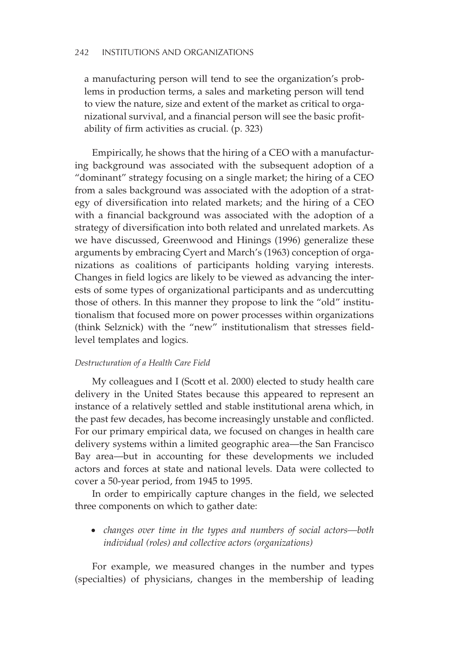#### 242 INSTITUTIONS AND ORGANIZATIONS

a manufacturing person will tend to see the organization's problems in production terms, a sales and marketing person will tend to view the nature, size and extent of the market as critical to organizational survival, and a financial person will see the basic profitability of firm activities as crucial. (p. 323)

Empirically, he shows that the hiring of a CEO with a manufacturing background was associated with the subsequent adoption of a "dominant" strategy focusing on a single market; the hiring of a CEO from a sales background was associated with the adoption of a strategy of diversification into related markets; and the hiring of a CEO with a financial background was associated with the adoption of a strategy of diversification into both related and unrelated markets. As we have discussed, Greenwood and Hinings (1996) generalize these arguments by embracing Cyert and March's (1963) conception of organizations as coalitions of participants holding varying interests. Changes in field logics are likely to be viewed as advancing the interests of some types of organizational participants and as undercutting those of others. In this manner they propose to link the "old" institutionalism that focused more on power processes within organizations (think Selznick) with the "new" institutionalism that stresses fieldlevel templates and logics.

#### *Destructuration of a Health Care Field*

My colleagues and I (Scott et al. 2000) elected to study health care delivery in the United States because this appeared to represent an instance of a relatively settled and stable institutional arena which, in the past few decades, has become increasingly unstable and conflicted. For our primary empirical data, we focused on changes in health care delivery systems within a limited geographic area—the San Francisco Bay area—but in accounting for these developments we included actors and forces at state and national levels. Data were collected to cover a 50-year period, from 1945 to 1995.

In order to empirically capture changes in the field, we selected three components on which to gather date:

• *changes over time in the types and numbers of social actors—both individual (roles) and collective actors (organizations)*

For example, we measured changes in the number and types (specialties) of physicians, changes in the membership of leading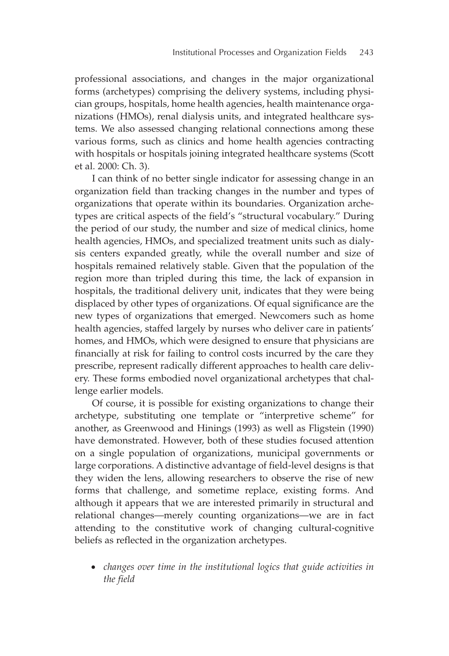professional associations, and changes in the major organizational forms (archetypes) comprising the delivery systems, including physician groups, hospitals, home health agencies, health maintenance organizations (HMOs), renal dialysis units, and integrated healthcare systems. We also assessed changing relational connections among these various forms, such as clinics and home health agencies contracting with hospitals or hospitals joining integrated healthcare systems (Scott et al. 2000: Ch. 3).

I can think of no better single indicator for assessing change in an organization field than tracking changes in the number and types of organizations that operate within its boundaries. Organization archetypes are critical aspects of the field's "structural vocabulary." During the period of our study, the number and size of medical clinics, home health agencies, HMOs, and specialized treatment units such as dialysis centers expanded greatly, while the overall number and size of hospitals remained relatively stable. Given that the population of the region more than tripled during this time, the lack of expansion in hospitals, the traditional delivery unit, indicates that they were being displaced by other types of organizations. Of equal significance are the new types of organizations that emerged. Newcomers such as home health agencies, staffed largely by nurses who deliver care in patients' homes, and HMOs, which were designed to ensure that physicians are financially at risk for failing to control costs incurred by the care they prescribe, represent radically different approaches to health care delivery. These forms embodied novel organizational archetypes that challenge earlier models.

Of course, it is possible for existing organizations to change their archetype, substituting one template or "interpretive scheme" for another, as Greenwood and Hinings (1993) as well as Fligstein (1990) have demonstrated. However, both of these studies focused attention on a single population of organizations, municipal governments or large corporations. A distinctive advantage of field-level designs is that they widen the lens, allowing researchers to observe the rise of new forms that challenge, and sometime replace, existing forms. And although it appears that we are interested primarily in structural and relational changes—merely counting organizations—we are in fact attending to the constitutive work of changing cultural-cognitive beliefs as reflected in the organization archetypes.

• *changes over time in the institutional logics that guide activities in the field*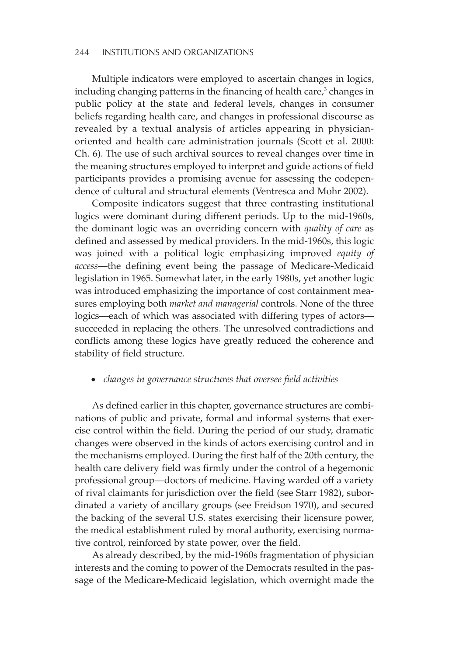#### 244 INSTITUTIONS AND ORGANIZATIONS

Multiple indicators were employed to ascertain changes in logics, including changing patterns in the financing of health care, $3$  changes in public policy at the state and federal levels, changes in consumer beliefs regarding health care, and changes in professional discourse as revealed by a textual analysis of articles appearing in physicianoriented and health care administration journals (Scott et al. 2000: Ch. 6). The use of such archival sources to reveal changes over time in the meaning structures employed to interpret and guide actions of field participants provides a promising avenue for assessing the codependence of cultural and structural elements (Ventresca and Mohr 2002).

Composite indicators suggest that three contrasting institutional logics were dominant during different periods. Up to the mid-1960s, the dominant logic was an overriding concern with *quality of care* as defined and assessed by medical providers. In the mid-1960s, this logic was joined with a political logic emphasizing improved *equity of access*—the defining event being the passage of Medicare-Medicaid legislation in 1965. Somewhat later, in the early 1980s, yet another logic was introduced emphasizing the importance of cost containment measures employing both *market and managerial* controls. None of the three logics—each of which was associated with differing types of actors succeeded in replacing the others. The unresolved contradictions and conflicts among these logics have greatly reduced the coherence and stability of field structure.

# • *changes in governance structures that oversee field activities*

As defined earlier in this chapter, governance structures are combinations of public and private, formal and informal systems that exercise control within the field. During the period of our study, dramatic changes were observed in the kinds of actors exercising control and in the mechanisms employed. During the first half of the 20th century, the health care delivery field was firmly under the control of a hegemonic professional group—doctors of medicine. Having warded off a variety of rival claimants for jurisdiction over the field (see Starr 1982), subordinated a variety of ancillary groups (see Freidson 1970), and secured the backing of the several U.S. states exercising their licensure power, the medical establishment ruled by moral authority, exercising normative control, reinforced by state power, over the field.

As already described, by the mid-1960s fragmentation of physician interests and the coming to power of the Democrats resulted in the passage of the Medicare-Medicaid legislation, which overnight made the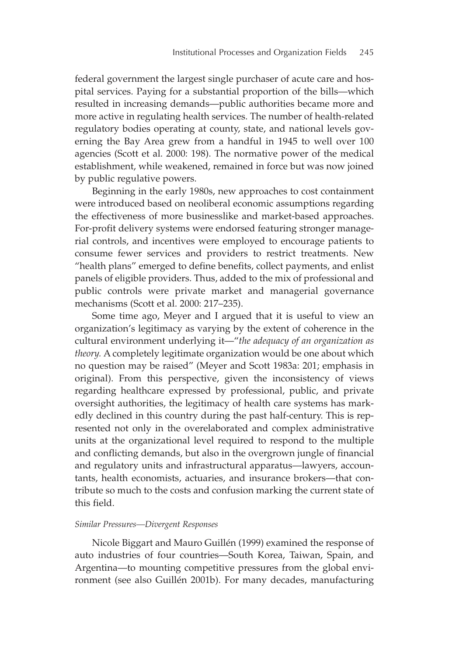federal government the largest single purchaser of acute care and hospital services. Paying for a substantial proportion of the bills—which resulted in increasing demands—public authorities became more and more active in regulating health services. The number of health-related regulatory bodies operating at county, state, and national levels governing the Bay Area grew from a handful in 1945 to well over 100 agencies (Scott et al. 2000: 198). The normative power of the medical establishment, while weakened, remained in force but was now joined by public regulative powers.

Beginning in the early 1980s, new approaches to cost containment were introduced based on neoliberal economic assumptions regarding the effectiveness of more businesslike and market-based approaches. For-profit delivery systems were endorsed featuring stronger managerial controls, and incentives were employed to encourage patients to consume fewer services and providers to restrict treatments. New "health plans" emerged to define benefits, collect payments, and enlist panels of eligible providers. Thus, added to the mix of professional and public controls were private market and managerial governance mechanisms (Scott et al. 2000: 217–235).

Some time ago, Meyer and I argued that it is useful to view an organization's legitimacy as varying by the extent of coherence in the cultural environment underlying it—"*the adequacy of an organization as theory.* A completely legitimate organization would be one about which no question may be raised" (Meyer and Scott 1983a: 201; emphasis in original). From this perspective, given the inconsistency of views regarding healthcare expressed by professional, public, and private oversight authorities, the legitimacy of health care systems has markedly declined in this country during the past half-century. This is represented not only in the overelaborated and complex administrative units at the organizational level required to respond to the multiple and conflicting demands, but also in the overgrown jungle of financial and regulatory units and infrastructural apparatus—lawyers, accountants, health economists, actuaries, and insurance brokers—that contribute so much to the costs and confusion marking the current state of this field.

# *Similar Pressures—Divergent Responses*

Nicole Biggart and Mauro Guillén (1999) examined the response of auto industries of four countries—South Korea, Taiwan, Spain, and Argentina—to mounting competitive pressures from the global environment (see also Guillén 2001b). For many decades, manufacturing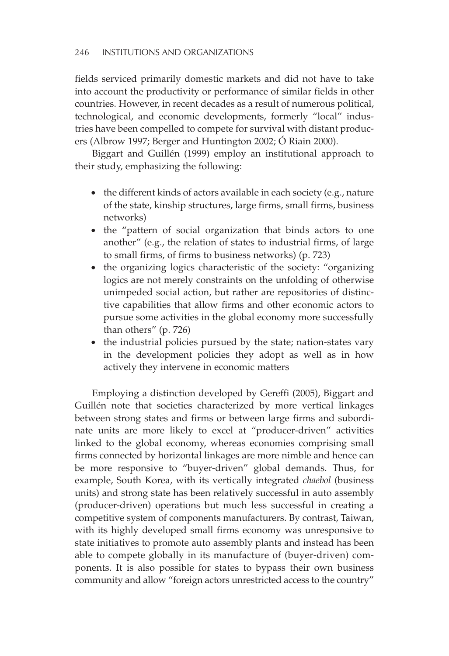fields serviced primarily domestic markets and did not have to take into account the productivity or performance of similar fields in other countries. However, in recent decades as a result of numerous political, technological, and economic developments, formerly "local" industries have been compelled to compete for survival with distant producers (Albrow 1997; Berger and Huntington 2002; Ó Riain 2000).

Biggart and Guillén (1999) employ an institutional approach to their study, emphasizing the following:

- the different kinds of actors available in each society (e.g., nature of the state, kinship structures, large firms, small firms, business networks)
- the "pattern of social organization that binds actors to one another" (e.g., the relation of states to industrial firms, of large to small firms, of firms to business networks) (p. 723)
- the organizing logics characteristic of the society: "organizing logics are not merely constraints on the unfolding of otherwise unimpeded social action, but rather are repositories of distinctive capabilities that allow firms and other economic actors to pursue some activities in the global economy more successfully than others" (p. 726)
- the industrial policies pursued by the state; nation-states vary in the development policies they adopt as well as in how actively they intervene in economic matters

Employing a distinction developed by Gereffi (2005), Biggart and Guillén note that societies characterized by more vertical linkages between strong states and firms or between large firms and subordinate units are more likely to excel at "producer-driven" activities linked to the global economy, whereas economies comprising small firms connected by horizontal linkages are more nimble and hence can be more responsive to "buyer-driven" global demands. Thus, for example, South Korea, with its vertically integrated *chaebol* (business units) and strong state has been relatively successful in auto assembly (producer-driven) operations but much less successful in creating a competitive system of components manufacturers. By contrast, Taiwan, with its highly developed small firms economy was unresponsive to state initiatives to promote auto assembly plants and instead has been able to compete globally in its manufacture of (buyer-driven) components. It is also possible for states to bypass their own business community and allow "foreign actors unrestricted access to the country"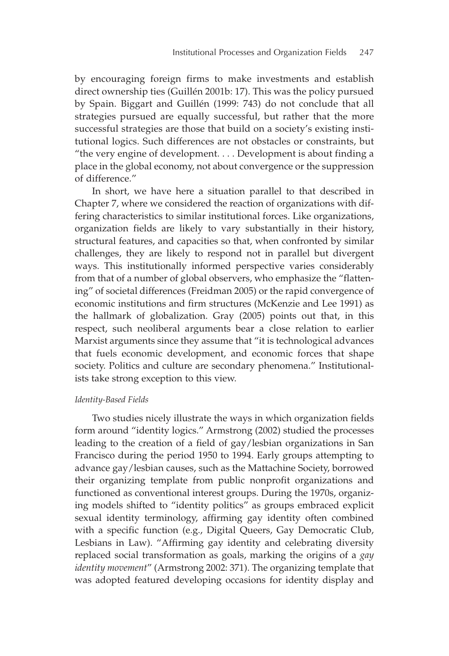by encouraging foreign firms to make investments and establish direct ownership ties (Guillén 2001b: 17). This was the policy pursued by Spain. Biggart and Guillén (1999: 743) do not conclude that all strategies pursued are equally successful, but rather that the more successful strategies are those that build on a society's existing institutional logics. Such differences are not obstacles or constraints, but "the very engine of development. . . . Development is about finding a place in the global economy, not about convergence or the suppression of difference."

In short, we have here a situation parallel to that described in Chapter 7, where we considered the reaction of organizations with differing characteristics to similar institutional forces. Like organizations, organization fields are likely to vary substantially in their history, structural features, and capacities so that, when confronted by similar challenges, they are likely to respond not in parallel but divergent ways. This institutionally informed perspective varies considerably from that of a number of global observers, who emphasize the "flattening" of societal differences (Freidman 2005) or the rapid convergence of economic institutions and firm structures (McKenzie and Lee 1991) as the hallmark of globalization. Gray (2005) points out that, in this respect, such neoliberal arguments bear a close relation to earlier Marxist arguments since they assume that "it is technological advances that fuels economic development, and economic forces that shape society. Politics and culture are secondary phenomena." Institutionalists take strong exception to this view.

#### *Identity-Based Fields*

Two studies nicely illustrate the ways in which organization fields form around "identity logics." Armstrong (2002) studied the processes leading to the creation of a field of gay/lesbian organizations in San Francisco during the period 1950 to 1994. Early groups attempting to advance gay/lesbian causes, such as the Mattachine Society, borrowed their organizing template from public nonprofit organizations and functioned as conventional interest groups. During the 1970s, organizing models shifted to "identity politics" as groups embraced explicit sexual identity terminology, affirming gay identity often combined with a specific function (e.g., Digital Queers, Gay Democratic Club, Lesbians in Law). "Affirming gay identity and celebrating diversity replaced social transformation as goals, marking the origins of a *gay identity movement*" (Armstrong 2002: 371). The organizing template that was adopted featured developing occasions for identity display and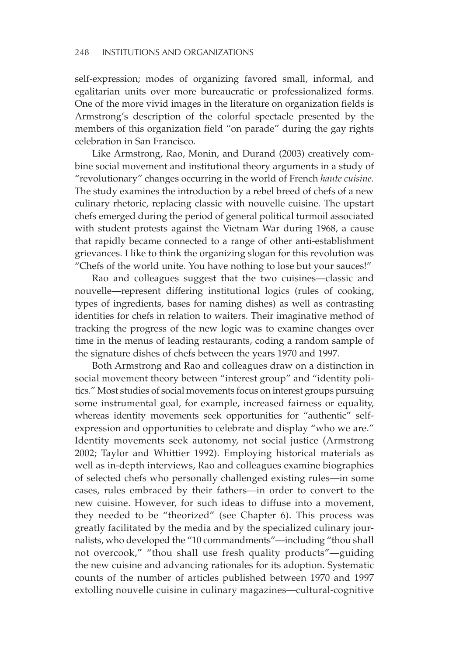self-expression; modes of organizing favored small, informal, and egalitarian units over more bureaucratic or professionalized forms. One of the more vivid images in the literature on organization fields is Armstrong's description of the colorful spectacle presented by the members of this organization field "on parade" during the gay rights celebration in San Francisco.

Like Armstrong, Rao, Monin, and Durand (2003) creatively combine social movement and institutional theory arguments in a study of "revolutionary" changes occurring in the world of French *haute cuisine.* The study examines the introduction by a rebel breed of chefs of a new culinary rhetoric, replacing classic with nouvelle cuisine. The upstart chefs emerged during the period of general political turmoil associated with student protests against the Vietnam War during 1968, a cause that rapidly became connected to a range of other anti-establishment grievances. I like to think the organizing slogan for this revolution was "Chefs of the world unite. You have nothing to lose but your sauces!"

Rao and colleagues suggest that the two cuisines—classic and nouvelle—represent differing institutional logics (rules of cooking, types of ingredients, bases for naming dishes) as well as contrasting identities for chefs in relation to waiters. Their imaginative method of tracking the progress of the new logic was to examine changes over time in the menus of leading restaurants, coding a random sample of the signature dishes of chefs between the years 1970 and 1997.

Both Armstrong and Rao and colleagues draw on a distinction in social movement theory between "interest group" and "identity politics." Most studies of social movements focus on interest groups pursuing some instrumental goal, for example, increased fairness or equality, whereas identity movements seek opportunities for "authentic" selfexpression and opportunities to celebrate and display "who we are." Identity movements seek autonomy, not social justice (Armstrong 2002; Taylor and Whittier 1992). Employing historical materials as well as in-depth interviews, Rao and colleagues examine biographies of selected chefs who personally challenged existing rules—in some cases, rules embraced by their fathers—in order to convert to the new cuisine. However, for such ideas to diffuse into a movement, they needed to be "theorized" (see Chapter 6). This process was greatly facilitated by the media and by the specialized culinary journalists, who developed the "10 commandments"—including "thou shall not overcook," "thou shall use fresh quality products"—guiding the new cuisine and advancing rationales for its adoption. Systematic counts of the number of articles published between 1970 and 1997 extolling nouvelle cuisine in culinary magazines—cultural-cognitive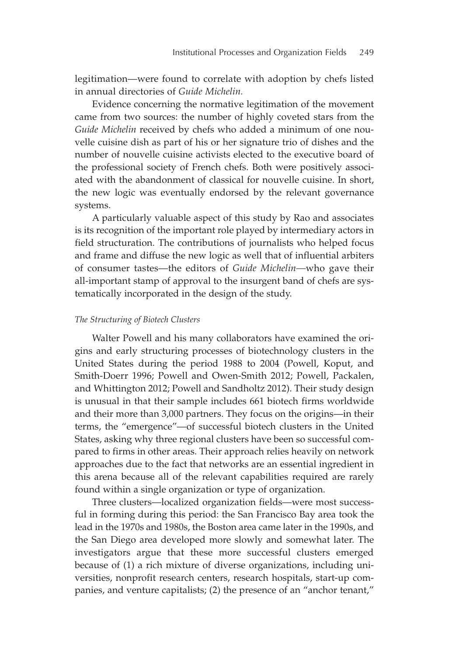legitimation—were found to correlate with adoption by chefs listed in annual directories of *Guide Michelin.*

Evidence concerning the normative legitimation of the movement came from two sources: the number of highly coveted stars from the *Guide Michelin* received by chefs who added a minimum of one nouvelle cuisine dish as part of his or her signature trio of dishes and the number of nouvelle cuisine activists elected to the executive board of the professional society of French chefs. Both were positively associated with the abandonment of classical for nouvelle cuisine. In short, the new logic was eventually endorsed by the relevant governance systems.

A particularly valuable aspect of this study by Rao and associates is its recognition of the important role played by intermediary actors in field structuration. The contributions of journalists who helped focus and frame and diffuse the new logic as well that of influential arbiters of consumer tastes—the editors of *Guide Michelin—*who gave their all-important stamp of approval to the insurgent band of chefs are systematically incorporated in the design of the study.

#### *The Structuring of Biotech Clusters*

Walter Powell and his many collaborators have examined the origins and early structuring processes of biotechnology clusters in the United States during the period 1988 to 2004 (Powell, Koput, and Smith-Doerr 1996; Powell and Owen-Smith 2012; Powell, Packalen, and Whittington 2012; Powell and Sandholtz 2012). Their study design is unusual in that their sample includes 661 biotech firms worldwide and their more than 3,000 partners. They focus on the origins—in their terms, the "emergence"—of successful biotech clusters in the United States, asking why three regional clusters have been so successful compared to firms in other areas. Their approach relies heavily on network approaches due to the fact that networks are an essential ingredient in this arena because all of the relevant capabilities required are rarely found within a single organization or type of organization.

Three clusters—localized organization fields—were most successful in forming during this period: the San Francisco Bay area took the lead in the 1970s and 1980s, the Boston area came later in the 1990s, and the San Diego area developed more slowly and somewhat later. The investigators argue that these more successful clusters emerged because of (1) a rich mixture of diverse organizations, including universities, nonprofit research centers, research hospitals, start-up companies, and venture capitalists; (2) the presence of an "anchor tenant,"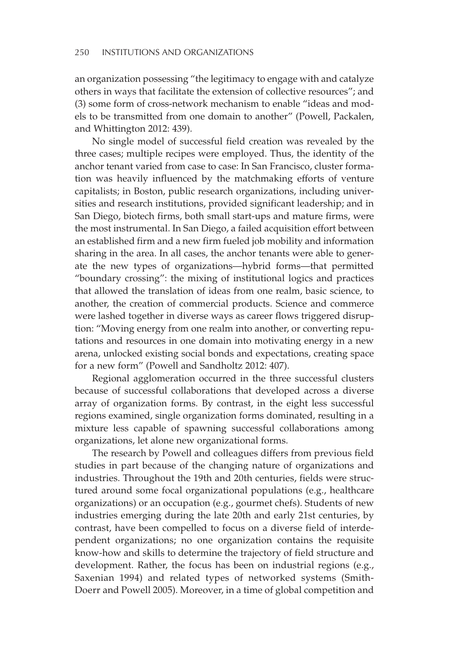an organization possessing "the legitimacy to engage with and catalyze others in ways that facilitate the extension of collective resources"; and (3) some form of cross-network mechanism to enable "ideas and models to be transmitted from one domain to another" (Powell, Packalen, and Whittington 2012: 439).

No single model of successful field creation was revealed by the three cases; multiple recipes were employed. Thus, the identity of the anchor tenant varied from case to case: In San Francisco, cluster formation was heavily influenced by the matchmaking efforts of venture capitalists; in Boston, public research organizations, including universities and research institutions, provided significant leadership; and in San Diego, biotech firms, both small start-ups and mature firms, were the most instrumental. In San Diego, a failed acquisition effort between an established firm and a new firm fueled job mobility and information sharing in the area. In all cases, the anchor tenants were able to generate the new types of organizations—hybrid forms—that permitted "boundary crossing": the mixing of institutional logics and practices that allowed the translation of ideas from one realm, basic science, to another, the creation of commercial products. Science and commerce were lashed together in diverse ways as career flows triggered disruption: "Moving energy from one realm into another, or converting reputations and resources in one domain into motivating energy in a new arena, unlocked existing social bonds and expectations, creating space for a new form" (Powell and Sandholtz 2012: 407).

Regional agglomeration occurred in the three successful clusters because of successful collaborations that developed across a diverse array of organization forms. By contrast, in the eight less successful regions examined, single organization forms dominated, resulting in a mixture less capable of spawning successful collaborations among organizations, let alone new organizational forms.

The research by Powell and colleagues differs from previous field studies in part because of the changing nature of organizations and industries. Throughout the 19th and 20th centuries, fields were structured around some focal organizational populations (e.g., healthcare organizations) or an occupation (e.g., gourmet chefs). Students of new industries emerging during the late 20th and early 21st centuries, by contrast, have been compelled to focus on a diverse field of interdependent organizations; no one organization contains the requisite know-how and skills to determine the trajectory of field structure and development. Rather, the focus has been on industrial regions (e.g., Saxenian 1994) and related types of networked systems (Smith-Doerr and Powell 2005). Moreover, in a time of global competition and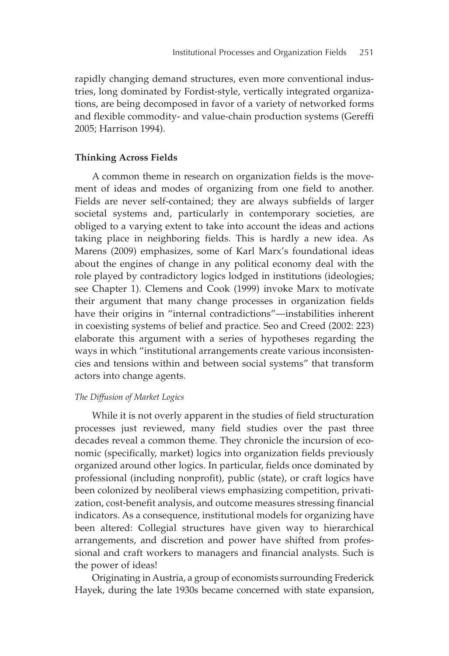rapidly changing demand structures, even more conventional industries, long dominated by Fordist-style, vertically integrated organizations, are being decomposed in favor of a variety of networked forms and flexible commodity- and value-chain production systems (Gereffi 2005; Harrison 1994).

# **Thinking Across Fields**

A common theme in research on organization fields is the movement of ideas and modes of organizing from one field to another. Fields are never self-contained; they are always subfields of larger societal systems and, particularly in contemporary societies, are obliged to a varying extent to take into account the ideas and actions taking place in neighboring fields. This is hardly a new idea. As Marens (2009) emphasizes, some of Karl Marx's foundational ideas about the engines of change in any political economy deal with the role played by contradictory logics lodged in institutions (ideologies; see Chapter 1). Clemens and Cook (1999) invoke Marx to motivate their argument that many change processes in organization fields have their origins in "internal contradictions"—instabilities inherent in coexisting systems of belief and practice. Seo and Creed (2002: 223) elaborate this argument with a series of hypotheses regarding the ways in which "institutional arrangements create various inconsistencies and tensions within and between social systems" that transform actors into change agents.

# *The Diffusion of Market Logics*

While it is not overly apparent in the studies of field structuration processes just reviewed, many field studies over the past three decades reveal a common theme. They chronicle the incursion of economic (specifically, market) logics into organization fields previously organized around other logics. In particular, fields once dominated by professional (including nonprofit), public (state), or craft logics have been colonized by neoliberal views emphasizing competition, privatization, cost-benefit analysis, and outcome measures stressing financial indicators. As a consequence, institutional models for organizing have been altered: Collegial structures have given way to hierarchical arrangements, and discretion and power have shifted from professional and craft workers to managers and financial analysts. Such is the power of ideas!

Originating in Austria, a group of economists surrounding Frederick Hayek, during the late 1930s became concerned with state expansion,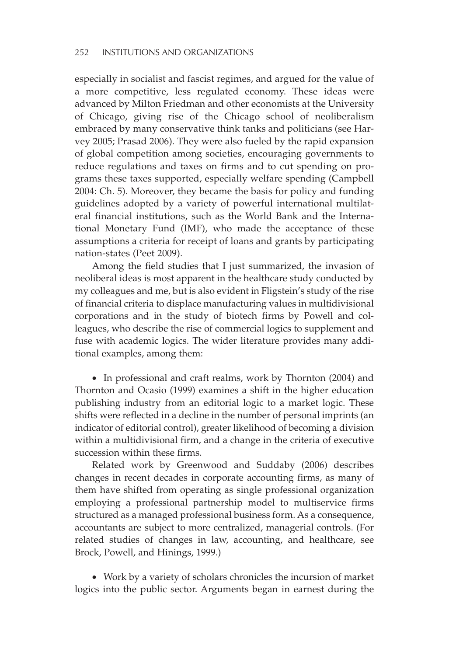especially in socialist and fascist regimes, and argued for the value of a more competitive, less regulated economy. These ideas were advanced by Milton Friedman and other economists at the University of Chicago, giving rise of the Chicago school of neoliberalism embraced by many conservative think tanks and politicians (see Harvey 2005; Prasad 2006). They were also fueled by the rapid expansion of global competition among societies, encouraging governments to reduce regulations and taxes on firms and to cut spending on programs these taxes supported, especially welfare spending (Campbell 2004: Ch. 5). Moreover, they became the basis for policy and funding guidelines adopted by a variety of powerful international multilateral financial institutions, such as the World Bank and the International Monetary Fund (IMF), who made the acceptance of these assumptions a criteria for receipt of loans and grants by participating nation-states (Peet 2009).

Among the field studies that I just summarized, the invasion of neoliberal ideas is most apparent in the healthcare study conducted by my colleagues and me, but is also evident in Fligstein's study of the rise of financial criteria to displace manufacturing values in multidivisional corporations and in the study of biotech firms by Powell and colleagues, who describe the rise of commercial logics to supplement and fuse with academic logics. The wider literature provides many additional examples, among them:

• In professional and craft realms, work by Thornton (2004) and Thornton and Ocasio (1999) examines a shift in the higher education publishing industry from an editorial logic to a market logic. These shifts were reflected in a decline in the number of personal imprints (an indicator of editorial control), greater likelihood of becoming a division within a multidivisional firm, and a change in the criteria of executive succession within these firms.

Related work by Greenwood and Suddaby (2006) describes changes in recent decades in corporate accounting firms, as many of them have shifted from operating as single professional organization employing a professional partnership model to multiservice firms structured as a managed professional business form. As a consequence, accountants are subject to more centralized, managerial controls. (For related studies of changes in law, accounting, and healthcare, see Brock, Powell, and Hinings, 1999.)

• Work by a variety of scholars chronicles the incursion of market logics into the public sector. Arguments began in earnest during the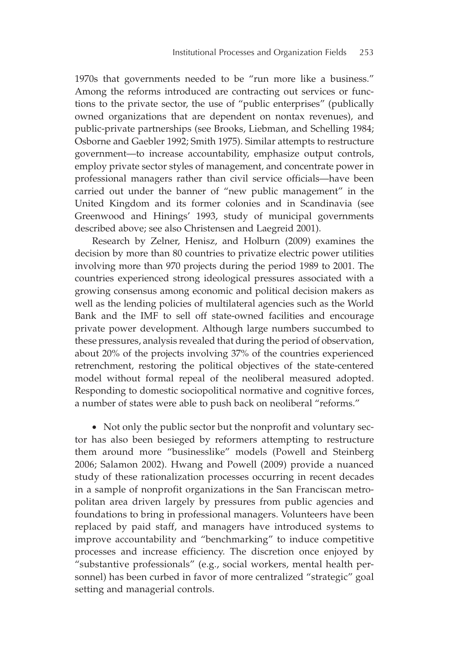1970s that governments needed to be "run more like a business." Among the reforms introduced are contracting out services or functions to the private sector, the use of "public enterprises" (publically owned organizations that are dependent on nontax revenues), and public-private partnerships (see Brooks, Liebman, and Schelling 1984; Osborne and Gaebler 1992; Smith 1975). Similar attempts to restructure government—to increase accountability, emphasize output controls, employ private sector styles of management, and concentrate power in professional managers rather than civil service officials—have been carried out under the banner of "new public management" in the United Kingdom and its former colonies and in Scandinavia (see Greenwood and Hinings' 1993, study of municipal governments described above; see also Christensen and Laegreid 2001).

Research by Zelner, Henisz, and Holburn (2009) examines the decision by more than 80 countries to privatize electric power utilities involving more than 970 projects during the period 1989 to 2001. The countries experienced strong ideological pressures associated with a growing consensus among economic and political decision makers as well as the lending policies of multilateral agencies such as the World Bank and the IMF to sell off state-owned facilities and encourage private power development. Although large numbers succumbed to these pressures, analysis revealed that during the period of observation, about 20% of the projects involving 37% of the countries experienced retrenchment, restoring the political objectives of the state-centered model without formal repeal of the neoliberal measured adopted. Responding to domestic sociopolitical normative and cognitive forces, a number of states were able to push back on neoliberal "reforms."

• Not only the public sector but the nonprofit and voluntary sector has also been besieged by reformers attempting to restructure them around more "businesslike" models (Powell and Steinberg 2006; Salamon 2002). Hwang and Powell (2009) provide a nuanced study of these rationalization processes occurring in recent decades in a sample of nonprofit organizations in the San Franciscan metropolitan area driven largely by pressures from public agencies and foundations to bring in professional managers. Volunteers have been replaced by paid staff, and managers have introduced systems to improve accountability and "benchmarking" to induce competitive processes and increase efficiency. The discretion once enjoyed by "substantive professionals" (e.g., social workers, mental health personnel) has been curbed in favor of more centralized "strategic" goal setting and managerial controls.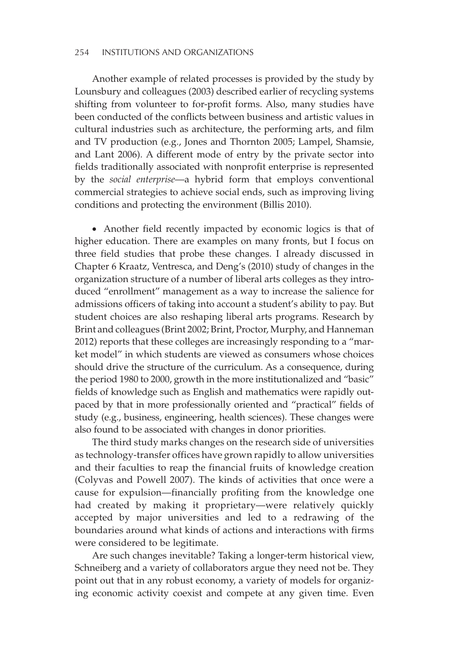#### 254 INSTITUTIONS AND ORGANIZATIONS

Another example of related processes is provided by the study by Lounsbury and colleagues (2003) described earlier of recycling systems shifting from volunteer to for-profit forms. Also, many studies have been conducted of the conflicts between business and artistic values in cultural industries such as architecture, the performing arts, and film and TV production (e.g., Jones and Thornton 2005; Lampel, Shamsie, and Lant 2006). A different mode of entry by the private sector into fields traditionally associated with nonprofit enterprise is represented by the *social enterprise*—a hybrid form that employs conventional commercial strategies to achieve social ends, such as improving living conditions and protecting the environment (Billis 2010).

• Another field recently impacted by economic logics is that of higher education. There are examples on many fronts, but I focus on three field studies that probe these changes. I already discussed in Chapter 6 Kraatz, Ventresca, and Deng's (2010) study of changes in the organization structure of a number of liberal arts colleges as they introduced "enrollment" management as a way to increase the salience for admissions officers of taking into account a student's ability to pay. But student choices are also reshaping liberal arts programs. Research by Brint and colleagues (Brint 2002; Brint, Proctor, Murphy, and Hanneman 2012) reports that these colleges are increasingly responding to a "market model" in which students are viewed as consumers whose choices should drive the structure of the curriculum. As a consequence, during the period 1980 to 2000, growth in the more institutionalized and "basic" fields of knowledge such as English and mathematics were rapidly outpaced by that in more professionally oriented and "practical" fields of study (e.g., business, engineering, health sciences). These changes were also found to be associated with changes in donor priorities.

The third study marks changes on the research side of universities as technology-transfer offices have grown rapidly to allow universities and their faculties to reap the financial fruits of knowledge creation (Colyvas and Powell 2007). The kinds of activities that once were a cause for expulsion—financially profiting from the knowledge one had created by making it proprietary—were relatively quickly accepted by major universities and led to a redrawing of the boundaries around what kinds of actions and interactions with firms were considered to be legitimate.

Are such changes inevitable? Taking a longer-term historical view, Schneiberg and a variety of collaborators argue they need not be. They point out that in any robust economy, a variety of models for organizing economic activity coexist and compete at any given time. Even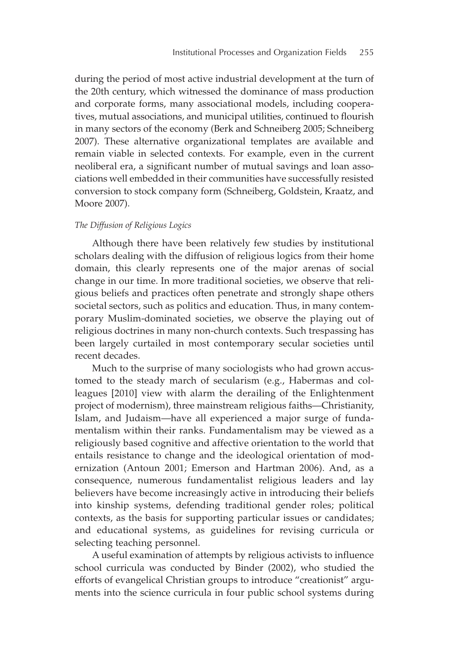during the period of most active industrial development at the turn of the 20th century, which witnessed the dominance of mass production and corporate forms, many associational models, including cooperatives, mutual associations, and municipal utilities, continued to flourish in many sectors of the economy (Berk and Schneiberg 2005; Schneiberg 2007). These alternative organizational templates are available and remain viable in selected contexts. For example, even in the current neoliberal era, a significant number of mutual savings and loan associations well embedded in their communities have successfully resisted conversion to stock company form (Schneiberg, Goldstein, Kraatz, and Moore 2007).

# *The Diffusion of Religious Logics*

Although there have been relatively few studies by institutional scholars dealing with the diffusion of religious logics from their home domain, this clearly represents one of the major arenas of social change in our time. In more traditional societies, we observe that religious beliefs and practices often penetrate and strongly shape others societal sectors, such as politics and education. Thus, in many contemporary Muslim-dominated societies, we observe the playing out of religious doctrines in many non-church contexts. Such trespassing has been largely curtailed in most contemporary secular societies until recent decades.

Much to the surprise of many sociologists who had grown accustomed to the steady march of secularism (e.g., Habermas and colleagues [2010] view with alarm the derailing of the Enlightenment project of modernism), three mainstream religious faiths—Christianity, Islam, and Judaism—have all experienced a major surge of fundamentalism within their ranks. Fundamentalism may be viewed as a religiously based cognitive and affective orientation to the world that entails resistance to change and the ideological orientation of modernization (Antoun 2001; Emerson and Hartman 2006). And, as a consequence, numerous fundamentalist religious leaders and lay believers have become increasingly active in introducing their beliefs into kinship systems, defending traditional gender roles; political contexts, as the basis for supporting particular issues or candidates; and educational systems, as guidelines for revising curricula or selecting teaching personnel.

A useful examination of attempts by religious activists to influence school curricula was conducted by Binder (2002), who studied the efforts of evangelical Christian groups to introduce "creationist" arguments into the science curricula in four public school systems during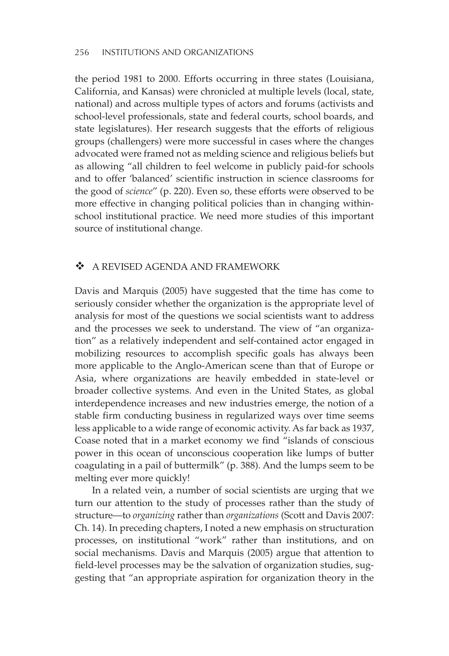the period 1981 to 2000. Efforts occurring in three states (Louisiana, California, and Kansas) were chronicled at multiple levels (local, state, national) and across multiple types of actors and forums (activists and school-level professionals, state and federal courts, school boards, and state legislatures). Her research suggests that the efforts of religious groups (challengers) were more successful in cases where the changes advocated were framed not as melding science and religious beliefs but as allowing "all children to feel welcome in publicly paid-for schools and to offer 'balanced' scientific instruction in science classrooms for the good of *science*" (p. 220). Even so, these efforts were observed to be more effective in changing political policies than in changing withinschool institutional practice. We need more studies of this important source of institutional change.

# ❖ A REVISED AGENDA AND FRAMEWORK

Davis and Marquis (2005) have suggested that the time has come to seriously consider whether the organization is the appropriate level of analysis for most of the questions we social scientists want to address and the processes we seek to understand. The view of "an organization" as a relatively independent and self-contained actor engaged in mobilizing resources to accomplish specific goals has always been more applicable to the Anglo-American scene than that of Europe or Asia, where organizations are heavily embedded in state-level or broader collective systems. And even in the United States, as global interdependence increases and new industries emerge, the notion of a stable firm conducting business in regularized ways over time seems less applicable to a wide range of economic activity. As far back as 1937, Coase noted that in a market economy we find "islands of conscious power in this ocean of unconscious cooperation like lumps of butter coagulating in a pail of buttermilk" (p. 388). And the lumps seem to be melting ever more quickly!

In a related vein, a number of social scientists are urging that we turn our attention to the study of processes rather than the study of structure—to *organizing* rather than *organizations* (Scott and Davis 2007: Ch. 14). In preceding chapters, I noted a new emphasis on structuration processes, on institutional "work" rather than institutions, and on social mechanisms. Davis and Marquis (2005) argue that attention to field-level processes may be the salvation of organization studies, suggesting that "an appropriate aspiration for organization theory in the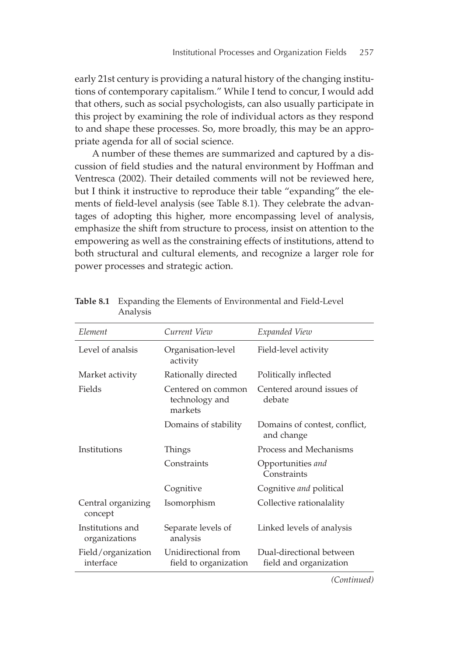early 21st century is providing a natural history of the changing institutions of contemporary capitalism." While I tend to concur, I would add that others, such as social psychologists, can also usually participate in this project by examining the role of individual actors as they respond to and shape these processes. So, more broadly, this may be an appropriate agenda for all of social science.

A number of these themes are summarized and captured by a discussion of field studies and the natural environment by Hoffman and Ventresca (2002). Their detailed comments will not be reviewed here, but I think it instructive to reproduce their table "expanding" the elements of field-level analysis (see Table 8.1). They celebrate the advantages of adopting this higher, more encompassing level of analysis, emphasize the shift from structure to process, insist on attention to the empowering as well as the constraining effects of institutions, attend to both structural and cultural elements, and recognize a larger role for power processes and strategic action.

| Element                           | Current View                                    | Expanded View                                      |
|-----------------------------------|-------------------------------------------------|----------------------------------------------------|
| Level of analsis                  | Organisation-level<br>activity                  | Field-level activity                               |
| Market activity                   | Rationally directed                             | Politically inflected                              |
| Fields                            | Centered on common<br>technology and<br>markets | Centered around issues of<br>debate                |
|                                   | Domains of stability                            | Domains of contest, conflict,<br>and change        |
| Institutions                      | Things                                          | Process and Mechanisms                             |
|                                   | Constraints                                     | Opportunities and<br>Constraints                   |
|                                   | Cognitive                                       | Cognitive and political                            |
| Central organizing<br>concept     | Isomorphism                                     | Collective rationalality                           |
| Institutions and<br>organizations | Separate levels of<br>analysis                  | Linked levels of analysis                          |
| Field/organization<br>interface   | Unidirectional from<br>field to organization    | Dual-directional between<br>field and organization |

**Table 8.1** Expanding the Elements of Environmental and Field-Level Analysis

*(Continued)*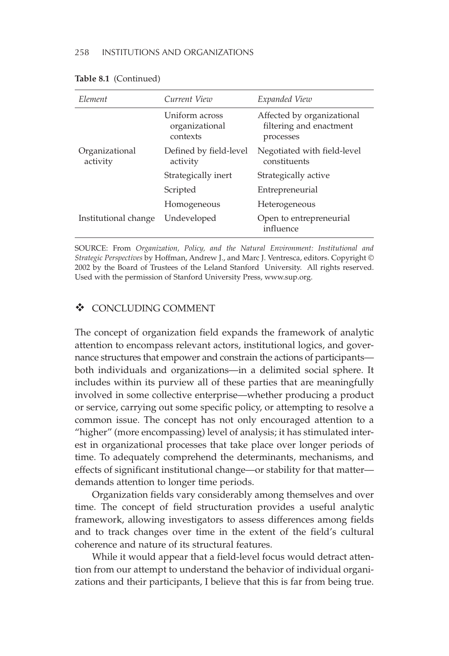| Element                    | Current View                                 | Expanded View                                                      |
|----------------------------|----------------------------------------------|--------------------------------------------------------------------|
|                            | Uniform across<br>organizational<br>contexts | Affected by organizational<br>filtering and enactment<br>processes |
| Organizational<br>activity | Defined by field-level<br>activity           | Negotiated with field-level<br>constituents                        |
|                            | Strategically inert                          | Strategically active                                               |
|                            | Scripted                                     | Entrepreneurial                                                    |
|                            | Homogeneous                                  | Heterogeneous                                                      |
| Institutional change       | Undeveloped                                  | Open to entrepreneurial<br>influence                               |

#### **Table 8.1** (Continued)

SOURCE: From *Organization, Policy, and the Natural Environment: Institutional and Strategic Perspectives* by Hoffman, Andrew J., and Marc J. Ventresca, editors. Copyright © 2002 by the Board of Trustees of the Leland Stanford University. All rights reserved. Used with the permission of Stanford University Press, www.sup.org.

# ❖ CONCLUDING COMMENT

The concept of organization field expands the framework of analytic attention to encompass relevant actors, institutional logics, and governance structures that empower and constrain the actions of participants both individuals and organizations—in a delimited social sphere. It includes within its purview all of these parties that are meaningfully involved in some collective enterprise—whether producing a product or service, carrying out some specific policy, or attempting to resolve a common issue. The concept has not only encouraged attention to a "higher" (more encompassing) level of analysis; it has stimulated interest in organizational processes that take place over longer periods of time. To adequately comprehend the determinants, mechanisms, and effects of significant institutional change—or stability for that matter demands attention to longer time periods.

Organization fields vary considerably among themselves and over time. The concept of field structuration provides a useful analytic framework, allowing investigators to assess differences among fields and to track changes over time in the extent of the field's cultural coherence and nature of its structural features.

While it would appear that a field-level focus would detract attention from our attempt to understand the behavior of individual organizations and their participants, I believe that this is far from being true.